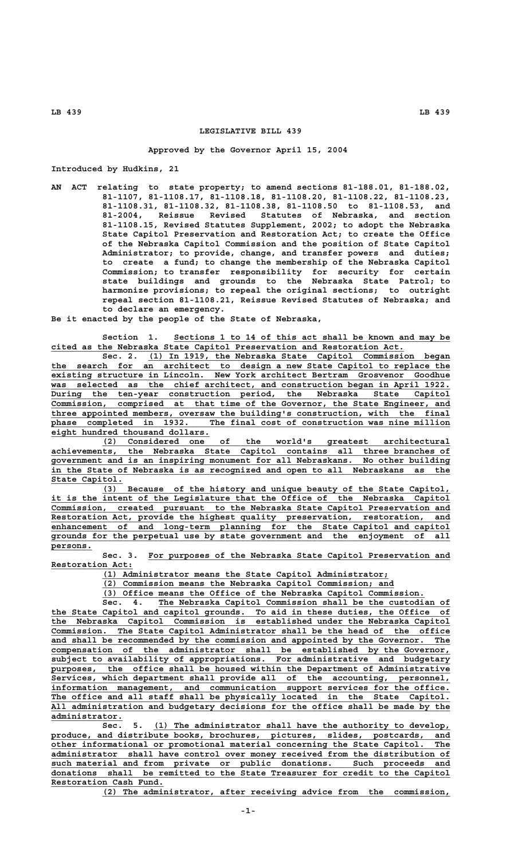## **LEGISLATIVE BILL 439**

## **Approved by the Governor April 15, 2004**

**Introduced by Hudkins, 21**

**AN ACT relating to state property; to amend sections 81-188.01, 81-188.02, 81-1107, 81-1108.17, 81-1108.18, 81-1108.20, 81-1108.22, 81-1108.23, 81-1108.31, 81-1108.32, 81-1108.38, 81-1108.50 to 81-1108.53, and 81-2004, Reissue Revised Statutes of Nebraska, and section 81-1108.15, Revised Statutes Supplement, 2002; to adopt the Nebraska State Capitol Preservation and Restoration Act; to create the Office of the Nebraska Capitol Commission and the position of State Capitol Administrator; to provide, change, and transfer powers and duties; to create a fund; to change the membership of the Nebraska Capitol Commission; to transfer responsibility for security for certain state buildings and grounds to the Nebraska State Patrol; to harmonize provisions; to repeal the original sections; to outright repeal section 81-1108.21, Reissue Revised Statutes of Nebraska; and to declare an emergency.**

**Be it enacted by the people of the State of Nebraska,**

Section 1. Sections 1 to 14 of this act shall be known and may be  **\_\_\_\_\_\_\_\_\_\_\_\_\_\_\_\_\_\_\_\_\_\_\_\_\_\_\_\_\_\_\_\_\_\_\_\_\_\_\_\_\_\_\_\_\_\_\_\_\_\_\_\_\_\_\_\_\_\_\_\_\_\_\_\_\_\_\_\_\_ cited as the Nebraska State Capitol Preservation and Restoration Act.**

 **\_\_\_\_\_\_\_\_\_\_\_\_\_\_\_\_\_\_\_\_\_\_\_\_\_\_\_\_\_\_\_\_\_\_\_\_\_\_\_\_\_\_\_\_\_\_\_\_\_\_\_\_\_\_\_\_\_\_\_ Sec. 2. (1) In 1919, the Nebraska State Capitol Commission began \_\_\_\_\_\_\_\_\_\_\_\_\_\_\_\_\_\_\_\_\_\_\_\_\_\_\_\_\_\_\_\_\_\_\_\_\_\_\_\_\_\_\_\_\_\_\_\_\_\_\_\_\_\_\_\_\_\_\_\_\_\_\_\_\_\_\_\_\_\_\_\_\_\_\_\_\_\_ the search for an architect to design a new State Capitol to replace the \_\_\_\_\_\_\_\_\_\_\_\_\_\_\_\_\_\_\_\_\_\_\_\_\_\_\_\_\_\_\_\_\_\_\_\_\_\_\_\_\_\_\_\_\_\_\_\_\_\_\_\_\_\_\_\_\_\_\_\_\_\_\_\_\_\_\_\_\_\_\_\_\_\_\_\_\_\_ existing structure in Lincoln. New York architect Bertram Grosvenor Goodhue \_\_\_\_\_\_\_\_\_\_\_\_\_\_\_\_\_\_\_\_\_\_\_\_\_\_\_\_\_\_\_\_\_\_\_\_\_\_\_\_\_\_\_\_\_\_\_\_\_\_\_\_\_\_\_\_\_\_\_\_\_\_\_\_\_\_\_\_\_\_\_\_\_\_\_\_\_\_ was selected as the chief architect, and construction began in April 1922.** During the ten-year construction period, the Nebraska State Capitol  **\_\_\_\_\_\_\_\_\_\_\_\_\_\_\_\_\_\_\_\_\_\_\_\_\_\_\_\_\_\_\_\_\_\_\_\_\_\_\_\_\_\_\_\_\_\_\_\_\_\_\_\_\_\_\_\_\_\_\_\_\_\_\_\_\_\_\_\_\_\_\_\_\_\_\_\_\_\_ Commission, comprised at that time of the Governor, the State Engineer, and \_\_\_\_\_\_\_\_\_\_\_\_\_\_\_\_\_\_\_\_\_\_\_\_\_\_\_\_\_\_\_\_\_\_\_\_\_\_\_\_\_\_\_\_\_\_\_\_\_\_\_\_\_\_\_\_\_\_\_\_\_\_\_\_\_\_\_\_\_\_\_\_\_\_\_\_\_\_ three appointed members, oversaw the building's construction, with the final \_\_\_\_\_\_\_\_\_\_\_\_\_\_\_\_\_\_\_\_\_\_\_\_\_\_\_\_\_\_\_\_\_\_\_\_\_\_\_\_\_\_\_\_\_\_\_\_\_\_\_\_\_\_\_\_\_\_\_\_\_\_\_\_\_\_\_\_\_\_\_\_\_\_\_\_\_\_ phase completed in 1932. The final cost of construction was nine million \_\_\_\_\_\_\_\_\_\_\_\_\_\_\_\_\_\_\_\_\_\_\_\_\_\_\_\_\_\_\_ eight hundred thousand dollars.**

 **\_\_\_\_\_\_\_\_\_\_\_\_\_\_\_\_\_\_\_\_\_\_\_\_\_\_\_\_\_\_\_\_\_\_\_\_\_\_\_\_\_\_\_\_\_\_\_\_\_\_\_\_\_\_\_\_\_\_\_\_\_\_\_\_\_\_\_\_ (2) Considered one of the world's greatest architectural \_\_\_\_\_\_\_\_\_\_\_\_\_\_\_\_\_\_\_\_\_\_\_\_\_\_\_\_\_\_\_\_\_\_\_\_\_\_\_\_\_\_\_\_\_\_\_\_\_\_\_\_\_\_\_\_\_\_\_\_\_\_\_\_\_\_\_\_\_\_\_\_\_\_\_\_\_\_ achievements, the Nebraska State Capitol contains all three branches of \_\_\_\_\_\_\_\_\_\_\_\_\_\_\_\_\_\_\_\_\_\_\_\_\_\_\_\_\_\_\_\_\_\_\_\_\_\_\_\_\_\_\_\_\_\_\_\_\_\_\_\_\_\_\_\_\_\_\_\_\_\_\_\_\_\_\_\_\_\_\_\_\_\_\_\_\_\_ government and is an inspiring monument for all Nebraskans. No other building \_\_\_\_\_\_\_\_\_\_\_\_\_\_\_\_\_\_\_\_\_\_\_\_\_\_\_\_\_\_\_\_\_\_\_\_\_\_\_\_\_\_\_\_\_\_\_\_\_\_\_\_\_\_\_\_\_\_\_\_\_\_\_\_\_\_\_\_\_\_\_\_\_\_\_\_\_\_ in the State of Nebraska is as recognized and open to all Nebraskans as the State Capitol. \_\_\_\_\_\_\_\_\_\_\_\_\_\_**

 **\_\_\_\_\_\_\_\_\_\_\_\_\_\_\_\_\_\_\_\_\_\_\_\_\_\_\_\_\_\_\_\_\_\_\_\_\_\_\_\_\_\_\_\_\_\_\_\_\_\_\_\_\_\_\_\_\_\_\_\_\_\_\_\_\_\_\_\_ (3) Because of the history and unique beauty of the State Capitol, \_\_\_\_\_\_\_\_\_\_\_\_\_\_\_\_\_\_\_\_\_\_\_\_\_\_\_\_\_\_\_\_\_\_\_\_\_\_\_\_\_\_\_\_\_\_\_\_\_\_\_\_\_\_\_\_\_\_\_\_\_\_\_\_\_\_\_\_\_\_\_\_\_\_\_\_\_\_ it is the intent of the Legislature that the Office of the Nebraska Capitol \_\_\_\_\_\_\_\_\_\_\_\_\_\_\_\_\_\_\_\_\_\_\_\_\_\_\_\_\_\_\_\_\_\_\_\_\_\_\_\_\_\_\_\_\_\_\_\_\_\_\_\_\_\_\_\_\_\_\_\_\_\_\_\_\_\_\_\_\_\_\_\_\_\_\_\_\_\_ Commission, created pursuant to the Nebraska State Capitol Preservation and \_\_\_\_\_\_\_\_\_\_\_\_\_\_\_\_\_\_\_\_\_\_\_\_\_\_\_\_\_\_\_\_\_\_\_\_\_\_\_\_\_\_\_\_\_\_\_\_\_\_\_\_\_\_\_\_\_\_\_\_\_\_\_\_\_\_\_\_\_\_\_\_\_\_\_\_\_\_ Restoration Act, provide the highest quality preservation, restoration, and \_\_\_\_\_\_\_\_\_\_\_\_\_\_\_\_\_\_\_\_\_\_\_\_\_\_\_\_\_\_\_\_\_\_\_\_\_\_\_\_\_\_\_\_\_\_\_\_\_\_\_\_\_\_\_\_\_\_\_\_\_\_\_\_\_\_\_\_\_\_\_\_\_\_\_\_\_\_ enhancement of and long-term planning for the State Capitol and capitol \_\_\_\_\_\_\_\_\_\_\_\_\_\_\_\_\_\_\_\_\_\_\_\_\_\_\_\_\_\_\_\_\_\_\_\_\_\_\_\_\_\_\_\_\_\_\_\_\_\_\_\_\_\_\_\_\_\_\_\_\_\_\_\_\_\_\_\_\_\_\_\_\_\_\_\_\_\_ grounds for the perpetual use by state government and the enjoyment of all persons. \_\_\_\_\_\_\_\_**

 **\_\_\_\_\_\_\_\_\_\_\_\_\_\_\_\_\_\_\_\_\_\_\_\_\_\_\_\_\_\_\_\_\_\_\_\_\_\_\_\_\_\_\_\_\_\_\_\_\_\_\_\_\_\_\_\_\_\_\_ Sec. 3. For purposes of the Nebraska State Capitol Preservation and Restoration Act: \_\_\_\_\_\_\_\_\_\_\_\_\_\_\_\_**

 **\_\_\_\_\_\_\_\_\_\_\_\_\_\_\_\_\_\_\_\_\_\_\_\_\_\_\_\_\_\_\_\_\_\_\_\_\_\_\_\_\_\_\_\_\_\_\_\_\_\_\_\_\_\_\_\_ (1) Administrator means the State Capitol Administrator;**

 **\_\_\_\_\_\_\_\_\_\_\_\_\_\_\_\_\_\_\_\_\_\_\_\_\_\_\_\_\_\_\_\_\_\_\_\_\_\_\_\_\_\_\_\_\_\_\_\_\_\_\_\_\_\_\_\_\_ (2) Commission means the Nebraska Capitol Commission; and**

 **\_\_\_\_\_\_\_\_\_\_\_\_\_\_\_\_\_\_\_\_\_\_\_\_\_\_\_\_\_\_\_\_\_\_\_\_\_\_\_\_\_\_\_\_\_\_\_\_\_\_\_\_\_\_\_\_\_\_\_\_\_\_\_ (3) Office means the Office of the Nebraska Capitol Commission.**

 **\_\_\_\_\_\_\_\_\_\_\_\_\_\_\_\_\_\_\_\_\_\_\_\_\_\_\_\_\_\_\_\_\_\_\_\_\_\_\_\_\_\_\_\_\_\_\_\_\_\_\_\_\_\_\_\_\_ Sec. 4. The Nebraska Capitol Commission shall be the custodian of \_\_\_\_\_\_\_\_\_\_\_\_\_\_\_\_\_\_\_\_\_\_\_\_\_\_\_\_\_\_\_\_\_\_\_\_\_\_\_\_\_\_\_\_\_\_\_\_\_\_\_\_\_\_\_\_\_\_\_\_\_\_\_\_\_\_\_\_\_\_\_\_\_\_\_\_\_\_ the State Capitol and capitol grounds. To aid in these duties, the Office of \_\_\_\_\_\_\_\_\_\_\_\_\_\_\_\_\_\_\_\_\_\_\_\_\_\_\_\_\_\_\_\_\_\_\_\_\_\_\_\_\_\_\_\_\_\_\_\_\_\_\_\_\_\_\_\_\_\_\_\_\_\_\_\_\_\_\_\_\_\_\_\_\_\_\_\_\_\_ the Nebraska Capitol Commission is established under the Nebraska Capitol \_\_\_\_\_\_\_\_\_\_\_\_\_\_\_\_\_\_\_\_\_\_\_\_\_\_\_\_\_\_\_\_\_\_\_\_\_\_\_\_\_\_\_\_\_\_\_\_\_\_\_\_\_\_\_\_\_\_\_\_\_\_\_\_\_\_\_\_\_\_\_\_\_\_\_\_\_\_ Commission. The State Capitol Administrator shall be the head of the office** and shall be recommended by the commission and appointed by the Governor. The  **\_\_\_\_\_\_\_\_\_\_\_\_\_\_\_\_\_\_\_\_\_\_\_\_\_\_\_\_\_\_\_\_\_\_\_\_\_\_\_\_\_\_\_\_\_\_\_\_\_\_\_\_\_\_\_\_\_\_\_\_\_\_\_\_\_\_\_\_\_\_\_\_\_\_\_\_\_\_ compensation of the administrator shall be established by the Governor, \_\_\_\_\_\_\_\_\_\_\_\_\_\_\_\_\_\_\_\_\_\_\_\_\_\_\_\_\_\_\_\_\_\_\_\_\_\_\_\_\_\_\_\_\_\_\_\_\_\_\_\_\_\_\_\_\_\_\_\_\_\_\_\_\_\_\_\_\_\_\_\_\_\_\_\_\_\_ subject to availability of appropriations. For administrative and budgetary \_\_\_\_\_\_\_\_\_\_\_\_\_\_\_\_\_\_\_\_\_\_\_\_\_\_\_\_\_\_\_\_\_\_\_\_\_\_\_\_\_\_\_\_\_\_\_\_\_\_\_\_\_\_\_\_\_\_\_\_\_\_\_\_\_\_\_\_\_\_\_\_\_\_\_\_\_\_ purposes, the office shall be housed within the Department of Administrative \_\_\_\_\_\_\_\_\_\_\_\_\_\_\_\_\_\_\_\_\_\_\_\_\_\_\_\_\_\_\_\_\_\_\_\_\_\_\_\_\_\_\_\_\_\_\_\_\_\_\_\_\_\_\_\_\_\_\_\_\_\_\_\_\_\_\_\_\_\_\_\_\_\_\_\_\_\_ Services, which department shall provide all of the accounting, personnel, \_\_\_\_\_\_\_\_\_\_\_\_\_\_\_\_\_\_\_\_\_\_\_\_\_\_\_\_\_\_\_\_\_\_\_\_\_\_\_\_\_\_\_\_\_\_\_\_\_\_\_\_\_\_\_\_\_\_\_\_\_\_\_\_\_\_\_\_\_\_\_\_\_\_\_\_\_\_ information management, and communication support services for the office. \_\_\_\_\_\_\_\_\_\_\_\_\_\_\_\_\_\_\_\_\_\_\_\_\_\_\_\_\_\_\_\_\_\_\_\_\_\_\_\_\_\_\_\_\_\_\_\_\_\_\_\_\_\_\_\_\_\_\_\_\_\_\_\_\_\_\_\_\_\_\_\_\_\_\_\_\_\_ The office and all staff shall be physically located in the State Capitol. \_\_\_\_\_\_\_\_\_\_\_\_\_\_\_\_\_\_\_\_\_\_\_\_\_\_\_\_\_\_\_\_\_\_\_\_\_\_\_\_\_\_\_\_\_\_\_\_\_\_\_\_\_\_\_\_\_\_\_\_\_\_\_\_\_\_\_\_\_\_\_\_\_\_\_\_\_\_ All administration and budgetary decisions for the office shall be made by the administrator. \_\_\_\_\_\_\_\_\_\_\_\_\_\_**

 **\_\_\_\_\_\_\_\_\_\_\_\_\_\_\_\_\_\_\_\_\_\_\_\_\_\_\_\_\_\_\_\_\_\_\_\_\_\_\_\_\_\_\_\_\_\_\_\_\_\_\_\_\_\_\_\_\_\_ Sec. 5. (1) The administrator shall have the authority to develop, \_\_\_\_\_\_\_\_\_\_\_\_\_\_\_\_\_\_\_\_\_\_\_\_\_\_\_\_\_\_\_\_\_\_\_\_\_\_\_\_\_\_\_\_\_\_\_\_\_\_\_\_\_\_\_\_\_\_\_\_\_\_\_\_\_\_\_\_\_\_\_\_\_\_\_\_\_\_ produce, and distribute books, brochures, pictures, slides, postcards, and \_\_\_\_\_\_\_\_\_\_\_\_\_\_\_\_\_\_\_\_\_\_\_\_\_\_\_\_\_\_\_\_\_\_\_\_\_\_\_\_\_\_\_\_\_\_\_\_\_\_\_\_\_\_\_\_\_\_\_\_\_\_\_\_\_\_\_\_\_\_\_\_\_\_\_\_\_\_ other informational or promotional material concerning the State Capitol. The \_\_\_\_\_\_\_\_\_\_\_\_\_\_\_\_\_\_\_\_\_\_\_\_\_\_\_\_\_\_\_\_\_\_\_\_\_\_\_\_\_\_\_\_\_\_\_\_\_\_\_\_\_\_\_\_\_\_\_\_\_\_\_\_\_\_\_\_\_\_\_\_\_\_\_\_\_\_ administrator shall have control over money received from the distribution of \_\_\_\_\_\_\_\_\_\_\_\_\_\_\_\_\_\_\_\_\_\_\_\_\_\_\_\_\_\_\_\_\_\_\_\_\_\_\_\_\_\_\_\_\_\_\_\_\_\_\_\_\_\_\_\_\_\_\_\_\_\_\_\_\_\_\_\_\_\_\_\_\_\_\_\_\_\_ such material and from private or public donations. Such proceeds and \_\_\_\_\_\_\_\_\_\_\_\_\_\_\_\_\_\_\_\_\_\_\_\_\_\_\_\_\_\_\_\_\_\_\_\_\_\_\_\_\_\_\_\_\_\_\_\_\_\_\_\_\_\_\_\_\_\_\_\_\_\_\_\_\_\_\_\_\_\_\_\_\_\_\_\_\_\_ donations shall be remitted to the State Treasurer for credit to the Capitol \_\_\_\_\_\_\_\_\_\_\_\_\_\_\_\_\_\_\_\_\_\_ Restoration Cash Fund.**

 **\_\_\_\_\_\_\_\_\_\_\_\_\_\_\_\_\_\_\_\_\_\_\_\_\_\_\_\_\_\_\_\_\_\_\_\_\_\_\_\_\_\_\_\_\_\_\_\_\_\_\_\_\_\_\_\_\_\_\_\_\_\_\_\_\_\_\_\_ (2) The administrator, after receiving advice from the commission,**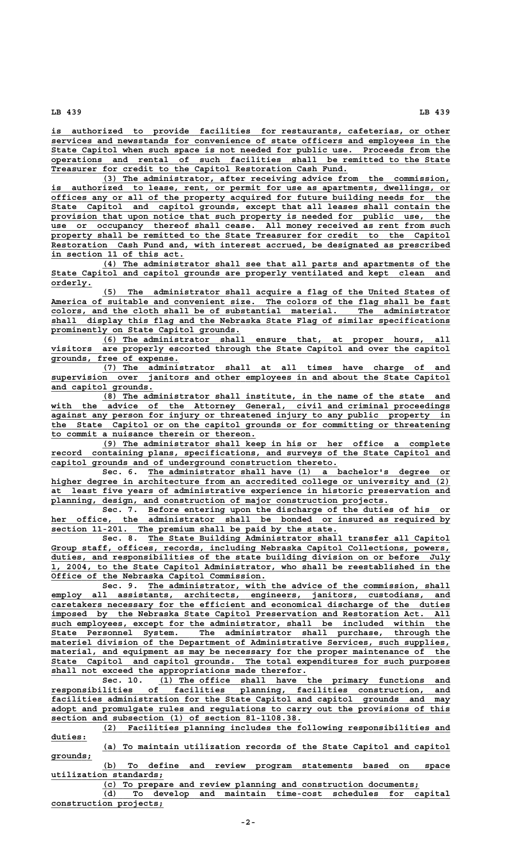**\_\_\_\_\_\_\_\_\_\_\_\_\_\_\_\_\_\_\_\_\_\_\_\_\_\_\_\_\_\_\_\_\_\_\_\_\_\_\_\_\_\_\_\_\_\_\_\_\_\_\_\_\_\_\_\_\_\_\_\_\_\_\_\_\_\_\_\_\_\_\_\_\_\_\_\_\_\_ is authorized to provide facilities for restaurants, cafeterias, or other \_\_\_\_\_\_\_\_\_\_\_\_\_\_\_\_\_\_\_\_\_\_\_\_\_\_\_\_\_\_\_\_\_\_\_\_\_\_\_\_\_\_\_\_\_\_\_\_\_\_\_\_\_\_\_\_\_\_\_\_\_\_\_\_\_\_\_\_\_\_\_\_\_\_\_\_\_\_ services and newsstands for convenience of state officers and employees in the \_\_\_\_\_\_\_\_\_\_\_\_\_\_\_\_\_\_\_\_\_\_\_\_\_\_\_\_\_\_\_\_\_\_\_\_\_\_\_\_\_\_\_\_\_\_\_\_\_\_\_\_\_\_\_\_\_\_\_\_\_\_\_\_\_\_\_\_\_\_\_\_\_\_\_\_\_\_ State Capitol when such space is not needed for public use. Proceeds from the \_\_\_\_\_\_\_\_\_\_\_\_\_\_\_\_\_\_\_\_\_\_\_\_\_\_\_\_\_\_\_\_\_\_\_\_\_\_\_\_\_\_\_\_\_\_\_\_\_\_\_\_\_\_\_\_\_\_\_\_\_\_\_\_\_\_\_\_\_\_\_\_\_\_\_\_\_\_ operations and rental of such facilities shall be remitted to the State \_\_\_\_\_\_\_\_\_\_\_\_\_\_\_\_\_\_\_\_\_\_\_\_\_\_\_\_\_\_\_\_\_\_\_\_\_\_\_\_\_\_\_\_\_\_\_\_\_\_\_\_\_\_\_\_\_\_ Treasurer for credit to the Capitol Restoration Cash Fund.**

 **\_\_\_\_\_\_\_\_\_\_\_\_\_\_\_\_\_\_\_\_\_\_\_\_\_\_\_\_\_\_\_\_\_\_\_\_\_\_\_\_\_\_\_\_\_\_\_\_\_\_\_\_\_\_\_\_\_\_\_\_\_\_\_\_\_\_\_\_ (3) The administrator, after receiving advice from the commission,** is authorized to lease, rent, or permit for use as apartments, dwellings, or  **\_\_\_\_\_\_\_\_\_\_\_\_\_\_\_\_\_\_\_\_\_\_\_\_\_\_\_\_\_\_\_\_\_\_\_\_\_\_\_\_\_\_\_\_\_\_\_\_\_\_\_\_\_\_\_\_\_\_\_\_\_\_\_\_\_\_\_\_\_\_\_\_\_\_\_\_\_\_ offices any or all of the property acquired for future building needs for the \_\_\_\_\_\_\_\_\_\_\_\_\_\_\_\_\_\_\_\_\_\_\_\_\_\_\_\_\_\_\_\_\_\_\_\_\_\_\_\_\_\_\_\_\_\_\_\_\_\_\_\_\_\_\_\_\_\_\_\_\_\_\_\_\_\_\_\_\_\_\_\_\_\_\_\_\_\_ State Capitol and capitol grounds, except that all leases shall contain the \_\_\_\_\_\_\_\_\_\_\_\_\_\_\_\_\_\_\_\_\_\_\_\_\_\_\_\_\_\_\_\_\_\_\_\_\_\_\_\_\_\_\_\_\_\_\_\_\_\_\_\_\_\_\_\_\_\_\_\_\_\_\_\_\_\_\_\_\_\_\_\_\_\_\_\_\_\_ provision that upon notice that such property is needed for public use, the \_\_\_\_\_\_\_\_\_\_\_\_\_\_\_\_\_\_\_\_\_\_\_\_\_\_\_\_\_\_\_\_\_\_\_\_\_\_\_\_\_\_\_\_\_\_\_\_\_\_\_\_\_\_\_\_\_\_\_\_\_\_\_\_\_\_\_\_\_\_\_\_\_\_\_\_\_\_ use or occupancy thereof shall cease. All money received as rent from such** property shall be remitted to the State Treasurer for credit to the Capitol  **\_\_\_\_\_\_\_\_\_\_\_\_\_\_\_\_\_\_\_\_\_\_\_\_\_\_\_\_\_\_\_\_\_\_\_\_\_\_\_\_\_\_\_\_\_\_\_\_\_\_\_\_\_\_\_\_\_\_\_\_\_\_\_\_\_\_\_\_\_\_\_\_\_\_\_\_\_\_ Restoration Cash Fund and, with interest accrued, be designated as prescribed \_\_\_\_\_\_\_\_\_\_\_\_\_\_\_\_\_\_\_\_\_\_\_\_\_\_ in section 11 of this act.**

 **\_\_\_\_\_\_\_\_\_\_\_\_\_\_\_\_\_\_\_\_\_\_\_\_\_\_\_\_\_\_\_\_\_\_\_\_\_\_\_\_\_\_\_\_\_\_\_\_\_\_\_\_\_\_\_\_\_\_\_\_\_\_\_\_\_\_\_\_ (4) The administrator shall see that all parts and apartments of the \_\_\_\_\_\_\_\_\_\_\_\_\_\_\_\_\_\_\_\_\_\_\_\_\_\_\_\_\_\_\_\_\_\_\_\_\_\_\_\_\_\_\_\_\_\_\_\_\_\_\_\_\_\_\_\_\_\_\_\_\_\_\_\_\_\_\_\_\_\_\_\_\_\_\_\_\_\_ State Capitol and capitol grounds are properly ventilated and kept clean and orderly. \_\_\_\_\_\_\_\_**

 **\_\_\_\_\_\_\_\_\_\_\_\_\_\_\_\_\_\_\_\_\_\_\_\_\_\_\_\_\_\_\_\_\_\_\_\_\_\_\_\_\_\_\_\_\_\_\_\_\_\_\_\_\_\_\_\_\_\_\_\_\_\_\_\_\_\_\_\_ (5) The administrator shall acquire a flag of the United States of \_\_\_\_\_\_\_\_\_\_\_\_\_\_\_\_\_\_\_\_\_\_\_\_\_\_\_\_\_\_\_\_\_\_\_\_\_\_\_\_\_\_\_\_\_\_\_\_\_\_\_\_\_\_\_\_\_\_\_\_\_\_\_\_\_\_\_\_\_\_\_\_\_\_\_\_\_\_ America of suitable and convenient size. The colors of the flag shall be fast \_\_\_\_\_\_\_\_\_\_\_\_\_\_\_\_\_\_\_\_\_\_\_\_\_\_\_\_\_\_\_\_\_\_\_\_\_\_\_\_\_\_\_\_\_\_\_\_\_\_\_\_\_\_\_\_\_\_\_\_\_\_\_\_\_\_\_\_\_\_\_\_\_\_\_\_\_\_ colors, and the cloth shall be of substantial material. The administrator \_\_\_\_\_\_\_\_\_\_\_\_\_\_\_\_\_\_\_\_\_\_\_\_\_\_\_\_\_\_\_\_\_\_\_\_\_\_\_\_\_\_\_\_\_\_\_\_\_\_\_\_\_\_\_\_\_\_\_\_\_\_\_\_\_\_\_\_\_\_\_\_\_\_\_\_\_\_ shall display this flag and the Nebraska State Flag of similar specifications \_\_\_\_\_\_\_\_\_\_\_\_\_\_\_\_\_\_\_\_\_\_\_\_\_\_\_\_\_\_\_\_\_\_\_\_\_ prominently on State Capitol grounds.**

 **\_\_\_\_\_\_\_\_\_\_\_\_\_\_\_\_\_\_\_\_\_\_\_\_\_\_\_\_\_\_\_\_\_\_\_\_\_\_\_\_\_\_\_\_\_\_\_\_\_\_\_\_\_\_\_\_\_\_\_\_\_\_\_\_\_\_\_\_ (6) The administrator shall ensure that, at proper hours, all** visitors are properly escorted through the State Capitol and over the capitol  **\_\_\_\_\_\_\_\_\_\_\_\_\_\_\_\_\_\_\_\_\_\_\_\_\_ grounds, free of expense.**

 **\_\_\_\_\_\_\_\_\_\_\_\_\_\_\_\_\_\_\_\_\_\_\_\_\_\_\_\_\_\_\_\_\_\_\_\_\_\_\_\_\_\_\_\_\_\_\_\_\_\_\_\_\_\_\_\_\_\_\_\_\_\_\_\_\_\_\_\_ (7) The administrator shall at all times have charge of and \_\_\_\_\_\_\_\_\_\_\_\_\_\_\_\_\_\_\_\_\_\_\_\_\_\_\_\_\_\_\_\_\_\_\_\_\_\_\_\_\_\_\_\_\_\_\_\_\_\_\_\_\_\_\_\_\_\_\_\_\_\_\_\_\_\_\_\_\_\_\_\_\_\_\_\_\_\_ supervision over janitors and other employees in and about the State Capitol \_\_\_\_\_\_\_\_\_\_\_\_\_\_\_\_\_\_\_\_ and capitol grounds.**

 **\_\_\_\_\_\_\_\_\_\_\_\_\_\_\_\_\_\_\_\_\_\_\_\_\_\_\_\_\_\_\_\_\_\_\_\_\_\_\_\_\_\_\_\_\_\_\_\_\_\_\_\_\_\_\_\_\_\_\_\_\_\_\_\_\_\_\_\_ (8) The administrator shall institute, in the name of the state and \_\_\_\_\_\_\_\_\_\_\_\_\_\_\_\_\_\_\_\_\_\_\_\_\_\_\_\_\_\_\_\_\_\_\_\_\_\_\_\_\_\_\_\_\_\_\_\_\_\_\_\_\_\_\_\_\_\_\_\_\_\_\_\_\_\_\_\_\_\_\_\_\_\_\_\_\_\_ with the advice of the Attorney General, civil and criminal proceedings \_\_\_\_\_\_\_\_\_\_\_\_\_\_\_\_\_\_\_\_\_\_\_\_\_\_\_\_\_\_\_\_\_\_\_\_\_\_\_\_\_\_\_\_\_\_\_\_\_\_\_\_\_\_\_\_\_\_\_\_\_\_\_\_\_\_\_\_\_\_\_\_\_\_\_\_\_\_ against any person for injury or threatened injury to any public property in \_\_\_\_\_\_\_\_\_\_\_\_\_\_\_\_\_\_\_\_\_\_\_\_\_\_\_\_\_\_\_\_\_\_\_\_\_\_\_\_\_\_\_\_\_\_\_\_\_\_\_\_\_\_\_\_\_\_\_\_\_\_\_\_\_\_\_\_\_\_\_\_\_\_\_\_\_\_ the State Capitol or on the capitol grounds or for committing or threatening \_\_\_\_\_\_\_\_\_\_\_\_\_\_\_\_\_\_\_\_\_\_\_\_\_\_\_\_\_\_\_\_\_\_\_\_\_\_\_\_ to commit a nuisance therein or thereon.**

 **\_\_\_\_\_\_\_\_\_\_\_\_\_\_\_\_\_\_\_\_\_\_\_\_\_\_\_\_\_\_\_\_\_\_\_\_\_\_\_\_\_\_\_\_\_\_\_\_\_\_\_\_\_\_\_\_\_\_\_\_\_\_\_\_\_\_\_\_ (9) The administrator shall keep in his or her office a complete \_\_\_\_\_\_\_\_\_\_\_\_\_\_\_\_\_\_\_\_\_\_\_\_\_\_\_\_\_\_\_\_\_\_\_\_\_\_\_\_\_\_\_\_\_\_\_\_\_\_\_\_\_\_\_\_\_\_\_\_\_\_\_\_\_\_\_\_\_\_\_\_\_\_\_\_\_\_ record containing plans, specifications, and surveys of the State Capitol and \_\_\_\_\_\_\_\_\_\_\_\_\_\_\_\_\_\_\_\_\_\_\_\_\_\_\_\_\_\_\_\_\_\_\_\_\_\_\_\_\_\_\_\_\_\_\_\_\_\_\_\_\_\_\_\_ capitol grounds and of underground construction thereto.**

 **\_\_\_\_\_\_\_\_\_\_\_\_\_\_\_\_\_\_\_\_\_\_\_\_\_\_\_\_\_\_\_\_\_\_\_\_\_\_\_\_\_\_\_\_\_\_\_\_\_\_\_\_\_\_\_\_\_\_\_ Sec. 6. The administrator shall have (1) a bachelor's degree or \_\_\_\_\_\_\_\_\_\_\_\_\_\_\_\_\_\_\_\_\_\_\_\_\_\_\_\_\_\_\_\_\_\_\_\_\_\_\_\_\_\_\_\_\_\_\_\_\_\_\_\_\_\_\_\_\_\_\_\_\_\_\_\_\_\_\_\_\_\_\_\_\_\_\_\_\_\_ higher degree in architecture from an accredited college or university and (2) \_\_\_\_\_\_\_\_\_\_\_\_\_\_\_\_\_\_\_\_\_\_\_\_\_\_\_\_\_\_\_\_\_\_\_\_\_\_\_\_\_\_\_\_\_\_\_\_\_\_\_\_\_\_\_\_\_\_\_\_\_\_\_\_\_\_\_\_\_\_\_\_\_\_\_\_\_\_ at least five years of administrative experience in historic preservation and** planning, design, and construction of major construction projects.

 **\_\_\_\_\_\_\_\_\_\_\_\_\_\_\_\_\_\_\_\_\_\_\_\_\_\_\_\_\_\_\_\_\_\_\_\_\_\_\_\_\_\_\_\_\_\_\_\_\_\_\_\_\_\_\_\_\_\_\_ Sec. 7. Before entering upon the discharge of the duties of his or \_\_\_\_\_\_\_\_\_\_\_\_\_\_\_\_\_\_\_\_\_\_\_\_\_\_\_\_\_\_\_\_\_\_\_\_\_\_\_\_\_\_\_\_\_\_\_\_\_\_\_\_\_\_\_\_\_\_\_\_\_\_\_\_\_\_\_\_\_\_\_\_\_\_\_\_\_\_ her office, the administrator shall be bonded or insured as required by \_\_\_\_\_\_\_\_\_\_\_\_\_\_\_\_\_\_\_\_\_\_\_\_\_\_\_\_\_\_\_\_\_\_\_\_\_\_\_\_\_\_\_\_\_\_\_\_\_\_\_\_\_\_\_\_ section 11-201. The premium shall be paid by the state.**

 **\_\_\_\_\_\_\_\_\_\_\_\_\_\_\_\_\_\_\_\_\_\_\_\_\_\_\_\_\_\_\_\_\_\_\_\_\_\_\_\_\_\_\_\_\_\_\_\_\_\_\_\_\_\_\_\_\_\_\_ Sec. 8. The State Building Administrator shall transfer all Capitol \_\_\_\_\_\_\_\_\_\_\_\_\_\_\_\_\_\_\_\_\_\_\_\_\_\_\_\_\_\_\_\_\_\_\_\_\_\_\_\_\_\_\_\_\_\_\_\_\_\_\_\_\_\_\_\_\_\_\_\_\_\_\_\_\_\_\_\_\_\_\_\_\_\_\_\_\_\_ Group staff, offices, records, including Nebraska Capitol Collections, powers, \_\_\_\_\_\_\_\_\_\_\_\_\_\_\_\_\_\_\_\_\_\_\_\_\_\_\_\_\_\_\_\_\_\_\_\_\_\_\_\_\_\_\_\_\_\_\_\_\_\_\_\_\_\_\_\_\_\_\_\_\_\_\_\_\_\_\_\_\_\_\_\_\_\_\_\_\_\_ duties, and responsibilities of the state building division on or before July \_\_\_\_\_\_\_\_\_\_\_\_\_\_\_\_\_\_\_\_\_\_\_\_\_\_\_\_\_\_\_\_\_\_\_\_\_\_\_\_\_\_\_\_\_\_\_\_\_\_\_\_\_\_\_\_\_\_\_\_\_\_\_\_\_\_\_\_\_\_\_\_\_\_\_\_\_\_ 1, 2004, to the State Capitol Administrator, who shall be reestablished in the \_\_\_\_\_\_\_\_\_\_\_\_\_\_\_\_\_\_\_\_\_\_\_\_\_\_\_\_\_\_\_\_\_\_\_\_\_\_\_\_\_\_ Office of the Nebraska Capitol Commission.**

Sec. 9. The administrator, with the advice of the commission, shall  **\_\_\_\_\_\_\_\_\_\_\_\_\_\_\_\_\_\_\_\_\_\_\_\_\_\_\_\_\_\_\_\_\_\_\_\_\_\_\_\_\_\_\_\_\_\_\_\_\_\_\_\_\_\_\_\_\_\_\_\_\_\_\_\_\_\_\_\_\_\_\_\_\_\_\_\_\_\_ employ all assistants, architects, engineers, janitors, custodians, and \_\_\_\_\_\_\_\_\_\_\_\_\_\_\_\_\_\_\_\_\_\_\_\_\_\_\_\_\_\_\_\_\_\_\_\_\_\_\_\_\_\_\_\_\_\_\_\_\_\_\_\_\_\_\_\_\_\_\_\_\_\_\_\_\_\_\_\_\_\_\_\_\_\_\_\_\_\_ caretakers necessary for the efficient and economical discharge of the duties** imposed by the Nebraska State Capitol Preservation and Restoration Act. All<br>such employees, except for the administrator, shall be included within the<br>State Personnel System. The administrator shall purchase, through the  **\_\_\_\_\_\_\_\_\_\_\_\_\_\_\_\_\_\_\_\_\_\_\_\_\_\_\_\_\_\_\_\_\_\_\_\_\_\_\_\_\_\_\_\_\_\_\_\_\_\_\_\_\_\_\_\_\_\_\_\_\_\_\_\_\_\_\_\_\_\_\_\_\_\_\_\_\_\_ such employees, except for the administrator, shall be included within the \_\_\_\_\_\_\_\_\_\_\_\_\_\_\_\_\_\_\_\_\_\_\_\_\_\_\_\_\_\_\_\_\_\_\_\_\_\_\_\_\_\_\_\_\_\_\_\_\_\_\_\_\_\_\_\_\_\_\_\_\_\_\_\_\_\_\_\_\_\_\_\_\_\_\_\_\_\_ State Personnel System. The administrator shall purchase, through the** materiel division of the Department of Administrative Services, such supplies,  $materal,$  and equipment as may be necessary for the proper maintenance of the  **\_\_\_\_\_\_\_\_\_\_\_\_\_\_\_\_\_\_\_\_\_\_\_\_\_\_\_\_\_\_\_\_\_\_\_\_\_\_\_\_\_\_\_\_\_\_\_\_\_\_\_\_\_\_\_\_\_\_\_\_\_\_\_\_\_\_\_\_\_\_\_\_\_\_\_\_\_\_ State Capitol and capitol grounds. The total expenditures for such purposes shall not exceed the appropriations made therefor.**<br>Sec. 10. (1) The office shall have

 **\_\_\_\_\_\_\_\_\_\_\_\_\_\_\_\_\_\_\_\_\_\_\_\_\_\_\_\_\_\_\_\_\_\_\_\_\_\_\_\_\_\_\_\_\_\_\_\_\_\_\_\_\_\_\_\_\_ Sec. 10. (1) The office shall have the primary functions and \_\_\_\_\_\_\_\_\_\_\_\_\_\_\_\_\_\_\_\_\_\_\_\_\_\_\_\_\_\_\_\_\_\_\_\_\_\_\_\_\_\_\_\_\_\_\_\_\_\_\_\_\_\_\_\_\_\_\_\_\_\_\_\_\_\_\_\_\_\_\_\_\_\_\_\_\_\_ responsibilities of facilities planning, facilities construction, and \_\_\_\_\_\_\_\_\_\_\_\_\_\_\_\_\_\_\_\_\_\_\_\_\_\_\_\_\_\_\_\_\_\_\_\_\_\_\_\_\_\_\_\_\_\_\_\_\_\_\_\_\_\_\_\_\_\_\_\_\_\_\_\_\_\_\_\_\_\_\_\_\_\_\_\_\_\_ facilities administration for the State Capitol and capitol grounds and may \_\_\_\_\_\_\_\_\_\_\_\_\_\_\_\_\_\_\_\_\_\_\_\_\_\_\_\_\_\_\_\_\_\_\_\_\_\_\_\_\_\_\_\_\_\_\_\_\_\_\_\_\_\_\_\_\_\_\_\_\_\_\_\_\_\_\_\_\_\_\_\_\_\_\_\_\_\_ adopt and promulgate rules and regulations to carry out the provisions of this \_\_\_\_\_\_\_\_\_\_\_\_\_\_\_\_\_\_\_\_\_\_\_\_\_\_\_\_\_\_\_\_\_\_\_\_\_\_\_\_\_\_\_\_\_\_\_\_\_ section and subsection (1) of section 81-1108.38.**

 **\_\_\_\_\_\_\_\_\_\_\_\_\_\_\_\_\_\_\_\_\_\_\_\_\_\_\_\_\_\_\_\_\_\_\_\_\_\_\_\_\_\_\_\_\_\_\_\_\_\_\_\_\_\_\_\_\_\_\_\_\_\_\_\_\_\_\_\_ (2) Facilities planning includes the following responsibilities and duties: \_\_\_\_\_\_\_**

 **\_\_\_\_\_\_\_\_\_\_\_\_\_\_\_\_\_\_\_\_\_\_\_\_\_\_\_\_\_\_\_\_\_\_\_\_\_\_\_\_\_\_\_\_\_\_\_\_\_\_\_\_\_\_\_\_\_\_\_\_\_\_\_\_\_\_\_\_ (a) To maintain utilization records of the State Capitol and capitol grounds; \_\_\_\_\_\_\_\_**

 **\_\_\_\_\_\_\_\_\_\_\_\_\_\_\_\_\_\_\_\_\_\_\_\_\_\_\_\_\_\_\_\_\_\_\_\_\_\_\_\_\_\_\_\_\_\_\_\_\_\_\_\_\_\_\_\_\_\_\_\_\_\_\_\_\_\_\_\_ (b) To define and review program statements based on space utilization standards; \_\_\_\_\_\_\_\_\_\_\_\_\_\_\_\_\_\_\_\_\_\_**

 **\_\_\_\_\_\_\_\_\_\_\_\_\_\_\_\_\_\_\_\_\_\_\_\_\_\_\_\_\_\_\_\_\_\_\_\_\_\_\_\_\_\_\_\_\_\_\_\_\_\_\_\_\_\_\_\_\_\_\_\_\_\_ (c) To prepare and review planning and construction documents; \_\_\_\_\_\_\_\_\_\_\_\_\_\_\_\_\_\_\_\_\_\_\_\_\_\_\_\_\_\_\_\_\_\_\_\_\_\_\_\_\_\_\_\_\_\_\_\_\_\_\_\_\_\_\_\_\_\_\_\_\_\_\_\_\_\_\_\_ (d) To develop and maintain time-cost schedules for capital construction projects; \_\_\_\_\_\_\_\_\_\_\_\_\_\_\_\_\_\_\_\_\_\_**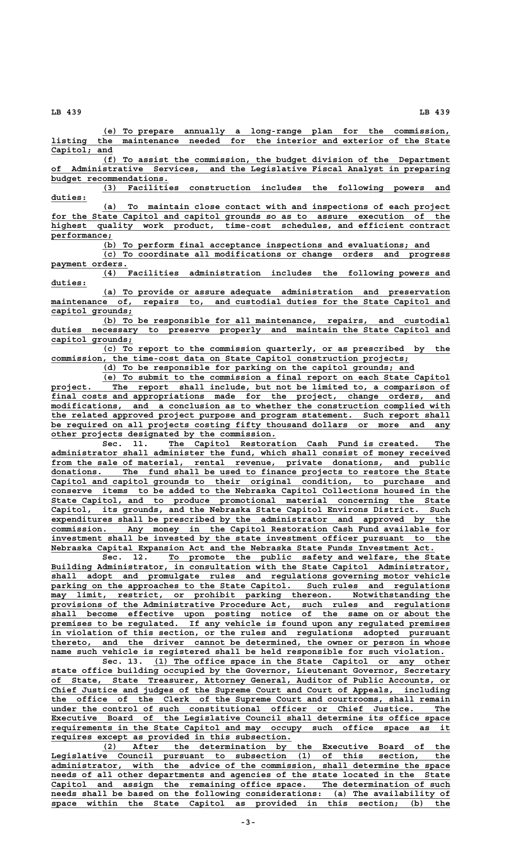**\_\_\_\_\_\_\_\_\_\_\_\_\_\_\_\_\_\_\_\_\_\_\_\_\_\_\_\_\_\_\_\_\_\_\_\_\_\_\_\_\_\_\_\_\_\_\_\_\_\_\_\_\_\_\_\_\_\_\_\_\_\_\_\_\_\_\_\_ (e) To prepare annually a long-range plan for the commission, \_\_\_\_\_\_\_\_\_\_\_\_\_\_\_\_\_\_\_\_\_\_\_\_\_\_\_\_\_\_\_\_\_\_\_\_\_\_\_\_\_\_\_\_\_\_\_\_\_\_\_\_\_\_\_\_\_\_\_\_\_\_\_\_\_\_\_\_\_\_\_\_\_\_\_\_\_\_ listing the maintenance needed for the interior and exterior of the State** Capitol; and

 **\_\_\_\_\_\_\_\_\_\_\_\_\_\_\_\_\_\_\_\_\_\_\_\_\_\_\_\_\_\_\_\_\_\_\_\_\_\_\_\_\_\_\_\_\_\_\_\_\_\_\_\_\_\_\_\_\_\_\_\_\_\_\_\_\_\_\_\_ (f) To assist the commission, the budget division of the Department \_\_\_\_\_\_\_\_\_\_\_\_\_\_\_\_\_\_\_\_\_\_\_\_\_\_\_\_\_\_\_\_\_\_\_\_\_\_\_\_\_\_\_\_\_\_\_\_\_\_\_\_\_\_\_\_\_\_\_\_\_\_\_\_\_\_\_\_\_\_\_\_\_\_\_\_\_\_ of Administrative Services, and the Legislative Fiscal Analyst in preparing** budget recommendations.<br>(3) Faciliti

 $\overline{\text{Facilities}}$  construction includes the following powers and  **duties: \_\_\_\_\_\_\_**

 **\_\_\_\_\_\_\_\_\_\_\_\_\_\_\_\_\_\_\_\_\_\_\_\_\_\_\_\_\_\_\_\_\_\_\_\_\_\_\_\_\_\_\_\_\_\_\_\_\_\_\_\_\_\_\_\_\_\_\_\_\_\_\_\_\_\_\_\_ (a) To maintain close contact with and inspections of each project \_\_\_\_\_\_\_\_\_\_\_\_\_\_\_\_\_\_\_\_\_\_\_\_\_\_\_\_\_\_\_\_\_\_\_\_\_\_\_\_\_\_\_\_\_\_\_\_\_\_\_\_\_\_\_\_\_\_\_\_\_\_\_\_\_\_\_\_\_\_\_\_\_\_\_\_\_\_ for the State Capitol and capitol grounds so as to assure execution of the** highest quality work product, time-cost schedules, and efficient contract performance;

 **\_\_\_\_\_\_\_\_\_\_\_\_\_\_\_\_\_\_\_\_\_\_\_\_\_\_\_\_\_\_\_\_\_\_\_\_\_\_\_\_\_\_\_\_\_\_\_\_\_\_\_\_\_\_\_\_\_\_\_\_\_\_\_\_ (b) To perform final acceptance inspections and evaluations; and**

 **\_\_\_\_\_\_\_\_\_\_\_\_\_\_\_\_\_\_\_\_\_\_\_\_\_\_\_\_\_\_\_\_\_\_\_\_\_\_\_\_\_\_\_\_\_\_\_\_\_\_\_\_\_\_\_\_\_\_\_\_\_\_\_\_\_\_\_\_ (c) To coordinate all modifications or change orders and progress payment orders. \_\_\_\_\_\_\_\_\_\_\_\_\_\_\_**

 **\_\_\_\_\_\_\_\_\_\_\_\_\_\_\_\_\_\_\_\_\_\_\_\_\_\_\_\_\_\_\_\_\_\_\_\_\_\_\_\_\_\_\_\_\_\_\_\_\_\_\_\_\_\_\_\_\_\_\_\_\_\_\_\_\_\_\_\_ (4) Facilities administration includes the following powers and duties: \_\_\_\_\_\_\_**

 **\_\_\_\_\_\_\_\_\_\_\_\_\_\_\_\_\_\_\_\_\_\_\_\_\_\_\_\_\_\_\_\_\_\_\_\_\_\_\_\_\_\_\_\_\_\_\_\_\_\_\_\_\_\_\_\_\_\_\_\_\_\_\_\_\_\_\_\_ (a) To provide or assure adequate administration and preservation**  $\frac{1}{n}$  maintenance of, repairs to, and custodial duties for the State Capitol and  **capitol grounds; \_\_\_\_\_\_\_\_\_\_\_\_\_\_\_\_**

 **\_\_\_\_\_\_\_\_\_\_\_\_\_\_\_\_\_\_\_\_\_\_\_\_\_\_\_\_\_\_\_\_\_\_\_\_\_\_\_\_\_\_\_\_\_\_\_\_\_\_\_\_\_\_\_\_\_\_\_\_\_\_\_\_\_\_\_\_ (b) To be responsible for all maintenance, repairs, and custodial** duties necessary to preserve properly and maintain the State Capitol and  **capitol grounds; \_\_\_\_\_\_\_\_\_\_\_\_\_\_\_\_**

 **\_\_\_\_\_\_\_\_\_\_\_\_\_\_\_\_\_\_\_\_\_\_\_\_\_\_\_\_\_\_\_\_\_\_\_\_\_\_\_\_\_\_\_\_\_\_\_\_\_\_\_\_\_\_\_\_\_\_\_\_\_\_\_\_\_\_\_\_ (c) To report to the commission quarterly, or as prescribed by the** commission, the time-cost data on State Capitol construction projects;

 **\_\_\_\_\_\_\_\_\_\_\_\_\_\_\_\_\_\_\_\_\_\_\_\_\_\_\_\_\_\_\_\_\_\_\_\_\_\_\_\_\_\_\_\_\_\_\_\_\_\_\_\_\_\_\_\_\_\_\_\_\_ (d) To be responsible for parking on the capitol grounds; and**

 **\_\_\_\_\_\_\_\_\_\_\_\_\_\_\_\_\_\_\_\_\_\_\_\_\_\_\_\_\_\_\_\_\_\_\_\_\_\_\_\_\_\_\_\_\_\_\_\_\_\_\_\_\_\_\_\_\_\_\_\_\_\_\_\_\_\_\_\_ (e) To submit to the commission a final report on each State Capitol \_\_\_\_\_\_\_\_\_\_\_\_\_\_\_\_\_\_\_\_\_\_\_\_\_\_\_\_\_\_\_\_\_\_\_\_\_\_\_\_\_\_\_\_\_\_\_\_\_\_\_\_\_\_\_\_\_\_\_\_\_\_\_\_\_\_\_\_\_\_\_\_\_\_\_\_\_\_ project. The report shall include, but not be limited to, a comparison of \_\_\_\_\_\_\_\_\_\_\_\_\_\_\_\_\_\_\_\_\_\_\_\_\_\_\_\_\_\_\_\_\_\_\_\_\_\_\_\_\_\_\_\_\_\_\_\_\_\_\_\_\_\_\_\_\_\_\_\_\_\_\_\_\_\_\_\_\_\_\_\_\_\_\_\_\_\_ final costs and appropriations made for the project, change orders, and \_\_\_\_\_\_\_\_\_\_\_\_\_\_\_\_\_\_\_\_\_\_\_\_\_\_\_\_\_\_\_\_\_\_\_\_\_\_\_\_\_\_\_\_\_\_\_\_\_\_\_\_\_\_\_\_\_\_\_\_\_\_\_\_\_\_\_\_\_\_\_\_\_\_\_\_\_\_ modifications, and a conclusion as to whether the construction complied with** the related approved project purpose and program statement. Such report shall  **\_\_\_\_\_\_\_\_\_\_\_\_\_\_\_\_\_\_\_\_\_\_\_\_\_\_\_\_\_\_\_\_\_\_\_\_\_\_\_\_\_\_\_\_\_\_\_\_\_\_\_\_\_\_\_\_\_\_\_\_\_\_\_\_\_\_\_\_\_\_\_\_\_\_\_\_\_\_ be required on all projects costing fifty thousand dollars or more and any \_\_\_\_\_\_\_\_\_\_\_\_\_\_\_\_\_\_\_\_\_\_\_\_\_\_\_\_\_\_\_\_\_\_\_\_\_\_\_\_\_\_\_\_ other projects designated by the commission.**

 **\_\_\_\_\_\_\_\_\_\_\_\_\_\_\_\_\_\_\_\_\_\_\_\_\_\_\_\_\_\_\_\_\_\_\_\_\_\_\_\_\_\_\_\_\_\_\_\_\_\_\_\_\_\_\_ Sec. 11. The Capitol Restoration Cash Fund is created. The \_\_\_\_\_\_\_\_\_\_\_\_\_\_\_\_\_\_\_\_\_\_\_\_\_\_\_\_\_\_\_\_\_\_\_\_\_\_\_\_\_\_\_\_\_\_\_\_\_\_\_\_\_\_\_\_\_\_\_\_\_\_\_\_\_\_\_\_\_\_\_\_\_\_\_\_\_\_ administrator shall administer the fund, which shall consist of money received** from the sale of material, rental revenue, private donations, and public donations. The fund shall be used to finance projects to restore the State  **\_\_\_\_\_\_\_\_\_\_\_\_\_\_\_\_\_\_\_\_\_\_\_\_\_\_\_\_\_\_\_\_\_\_\_\_\_\_\_\_\_\_\_\_\_\_\_\_\_\_\_\_\_\_\_\_\_\_\_\_\_\_\_\_\_\_\_\_\_\_\_\_\_\_\_\_\_\_ Capitol and capitol grounds to their original condition, to purchase and \_\_\_\_\_\_\_\_\_\_\_\_\_\_\_\_\_\_\_\_\_\_\_\_\_\_\_\_\_\_\_\_\_\_\_\_\_\_\_\_\_\_\_\_\_\_\_\_\_\_\_\_\_\_\_\_\_\_\_\_\_\_\_\_\_\_\_\_\_\_\_\_\_\_\_\_\_\_ conserve items to be added to the Nebraska Capitol Collections housed in the \_\_\_\_\_\_\_\_\_\_\_\_\_\_\_\_\_\_\_\_\_\_\_\_\_\_\_\_\_\_\_\_\_\_\_\_\_\_\_\_\_\_\_\_\_\_\_\_\_\_\_\_\_\_\_\_\_\_\_\_\_\_\_\_\_\_\_\_\_\_\_\_\_\_\_\_\_\_ State Capitol, and to produce promotional material concerning the State \_\_\_\_\_\_\_\_\_\_\_\_\_\_\_\_\_\_\_\_\_\_\_\_\_\_\_\_\_\_\_\_\_\_\_\_\_\_\_\_\_\_\_\_\_\_\_\_\_\_\_\_\_\_\_\_\_\_\_\_\_\_\_\_\_\_\_\_\_\_\_\_\_\_\_\_\_\_ Capitol, its grounds, and the Nebraska State Capitol Environs District. Such** expenditures shall be prescribed by the administrator and approved by the commission. Any money in the Capitol Restoration Cash Fund available for Any money in the Capitol Restoration Cash Fund available for investment shall be invested by the state investment officer pursuant to the Nebraska Capital Expansion Act and the Nebraska State Funds Investment Act.

Sec. 12. To promote the public safety and welfare, the State Building Administrator, in consultation with the State Capitol Administrator,  **\_\_\_\_\_\_\_\_\_\_\_\_\_\_\_\_\_\_\_\_\_\_\_\_\_\_\_\_\_\_\_\_\_\_\_\_\_\_\_\_\_\_\_\_\_\_\_\_\_\_\_\_\_\_\_\_\_\_\_\_\_\_\_\_\_\_\_\_\_\_\_\_\_\_\_\_\_\_ shall adopt and promulgate rules and regulations governing motor vehicle \_\_\_\_\_\_\_\_\_\_\_\_\_\_\_\_\_\_\_\_\_\_\_\_\_\_\_\_\_\_\_\_\_\_\_\_\_\_\_\_\_\_\_\_\_\_\_\_\_\_\_\_\_\_\_\_\_\_\_\_\_\_\_\_\_\_\_\_\_\_\_\_\_\_\_\_\_\_ parking on the approaches to the State Capitol. Such rules and regulations**  $\overline{\text{may}}$  limit, restrict, or prohibit parking thereon. Notwithstanding the  **\_\_\_\_\_\_\_\_\_\_\_\_\_\_\_\_\_\_\_\_\_\_\_\_\_\_\_\_\_\_\_\_\_\_\_\_\_\_\_\_\_\_\_\_\_\_\_\_\_\_\_\_\_\_\_\_\_\_\_\_\_\_\_\_\_\_\_\_\_\_\_\_\_\_\_\_\_\_ provisions of the Administrative Procedure Act, such rules and regulations \_\_\_\_\_\_\_\_\_\_\_\_\_\_\_\_\_\_\_\_\_\_\_\_\_\_\_\_\_\_\_\_\_\_\_\_\_\_\_\_\_\_\_\_\_\_\_\_\_\_\_\_\_\_\_\_\_\_\_\_\_\_\_\_\_\_\_\_\_\_\_\_\_\_\_\_\_\_ shall become effective upon posting notice of the same on or about the \_\_\_\_\_\_\_\_\_\_\_\_\_\_\_\_\_\_\_\_\_\_\_\_\_\_\_\_\_\_\_\_\_\_\_\_\_\_\_\_\_\_\_\_\_\_\_\_\_\_\_\_\_\_\_\_\_\_\_\_\_\_\_\_\_\_\_\_\_\_\_\_\_\_\_\_\_\_ premises to be regulated. If any vehicle is found upon any regulated premises \_\_\_\_\_\_\_\_\_\_\_\_\_\_\_\_\_\_\_\_\_\_\_\_\_\_\_\_\_\_\_\_\_\_\_\_\_\_\_\_\_\_\_\_\_\_\_\_\_\_\_\_\_\_\_\_\_\_\_\_\_\_\_\_\_\_\_\_\_\_\_\_\_\_\_\_\_\_ in violation of this section, or the rules and regulations adopted pursuant** thereto, and the driver cannot be determined, the owner or person in whose  $n$ ame such vehicle is registered shall be held responsible for such violation.

Sec. 13. (1) The office space in the State Capitol or any other  **\_\_\_\_\_\_\_\_\_\_\_\_\_\_\_\_\_\_\_\_\_\_\_\_\_\_\_\_\_\_\_\_\_\_\_\_\_\_\_\_\_\_\_\_\_\_\_\_\_\_\_\_\_\_\_\_\_\_\_\_\_\_\_\_\_\_\_\_\_\_\_\_\_\_\_\_\_\_ state office building occupied by the Governor, Lieutenant Governor, Secretary \_\_\_\_\_\_\_\_\_\_\_\_\_\_\_\_\_\_\_\_\_\_\_\_\_\_\_\_\_\_\_\_\_\_\_\_\_\_\_\_\_\_\_\_\_\_\_\_\_\_\_\_\_\_\_\_\_\_\_\_\_\_\_\_\_\_\_\_\_\_\_\_\_\_\_\_\_\_ of State, State Treasurer, Attorney General, Auditor of Public Accounts, or \_\_\_\_\_\_\_\_\_\_\_\_\_\_\_\_\_\_\_\_\_\_\_\_\_\_\_\_\_\_\_\_\_\_\_\_\_\_\_\_\_\_\_\_\_\_\_\_\_\_\_\_\_\_\_\_\_\_\_\_\_\_\_\_\_\_\_\_\_\_\_\_\_\_\_\_\_\_ Chief Justice and judges of the Supreme Court and Court of Appeals, including \_\_\_\_\_\_\_\_\_\_\_\_\_\_\_\_\_\_\_\_\_\_\_\_\_\_\_\_\_\_\_\_\_\_\_\_\_\_\_\_\_\_\_\_\_\_\_\_\_\_\_\_\_\_\_\_\_\_\_\_\_\_\_\_\_\_\_\_\_\_\_\_\_\_\_\_\_\_ the office of the Clerk of the Supreme Court and courtrooms, shall remain \_\_\_\_\_\_\_\_\_\_\_\_\_\_\_\_\_\_\_\_\_\_\_\_\_\_\_\_\_\_\_\_\_\_\_\_\_\_\_\_\_\_\_\_\_\_\_\_\_\_\_\_\_\_\_\_\_\_\_\_\_\_\_\_\_\_\_\_\_\_\_\_\_\_\_\_\_\_ under the control of such constitutional officer or Chief Justice. The \_\_\_\_\_\_\_\_\_\_\_\_\_\_\_\_\_\_\_\_\_\_\_\_\_\_\_\_\_\_\_\_\_\_\_\_\_\_\_\_\_\_\_\_\_\_\_\_\_\_\_\_\_\_\_\_\_\_\_\_\_\_\_\_\_\_\_\_\_\_\_\_\_\_\_\_\_\_ Executive Board of the Legislative Council shall determine its office space \_\_\_\_\_\_\_\_\_\_\_\_\_\_\_\_\_\_\_\_\_\_\_\_\_\_\_\_\_\_\_\_\_\_\_\_\_\_\_\_\_\_\_\_\_\_\_\_\_\_\_\_\_\_\_\_\_\_\_\_\_\_\_\_\_\_\_\_\_\_\_\_\_\_\_\_\_\_ requirements in the State Capitol and may occupy such office space as it \_\_\_\_\_\_\_\_\_\_\_\_\_\_\_\_\_\_\_\_\_\_\_\_\_\_\_\_\_\_\_\_\_\_\_\_\_\_\_\_\_\_\_\_\_\_\_ requires except as provided in this subsection.**

 **\_\_\_\_\_\_\_\_\_\_\_\_\_\_\_\_\_\_\_\_\_\_\_\_\_\_\_\_\_\_\_\_\_\_\_\_\_\_\_\_\_\_\_\_\_\_\_\_\_\_\_\_\_\_\_\_\_\_\_\_\_\_\_\_\_\_\_\_ (2) After the determination by the Executive Board of the \_\_\_\_\_\_\_\_\_\_\_\_\_\_\_\_\_\_\_\_\_\_\_\_\_\_\_\_\_\_\_\_\_\_\_\_\_\_\_\_\_\_\_\_\_\_\_\_\_\_\_\_\_\_\_\_\_\_\_\_\_\_\_\_\_\_\_\_\_\_\_\_\_\_\_\_\_\_ Legislative Council pursuant to subsection (1) of this section, the \_\_\_\_\_\_\_\_\_\_\_\_\_\_\_\_\_\_\_\_\_\_\_\_\_\_\_\_\_\_\_\_\_\_\_\_\_\_\_\_\_\_\_\_\_\_\_\_\_\_\_\_\_\_\_\_\_\_\_\_\_\_\_\_\_\_\_\_\_\_\_\_\_\_\_\_\_\_ administrator, with the advice of the commission, shall determine the space** needs of all other departments and agencies of the state located in the State  **\_\_\_\_\_\_\_\_\_\_\_\_\_\_\_\_\_\_\_\_\_\_\_\_\_\_\_\_\_\_\_\_\_\_\_\_\_\_\_\_\_\_\_\_\_\_\_\_\_\_\_\_\_\_\_\_\_\_\_\_\_\_\_\_\_\_\_\_\_\_\_\_\_\_\_\_\_\_ Capitol and assign the remaining office space. The determination of such**  $\frac{1}{2}$  needs shall be based on the following considerations: (a) The availability of  **\_\_\_\_\_\_\_\_\_\_\_\_\_\_\_\_\_\_\_\_\_\_\_\_\_\_\_\_\_\_\_\_\_\_\_\_\_\_\_\_\_\_\_\_\_\_\_\_\_\_\_\_\_\_\_\_\_\_\_\_\_\_\_\_\_\_\_\_\_\_\_\_\_\_\_\_\_\_ space within the State Capitol as provided in this section; (b) the**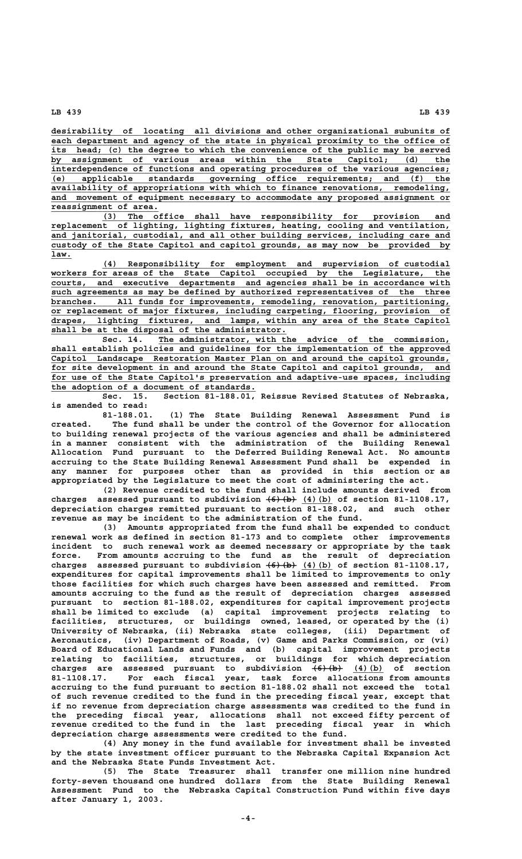**\_\_\_\_\_\_\_\_\_\_\_\_\_\_\_\_\_\_\_\_\_\_\_\_\_\_\_\_\_\_\_\_\_\_\_\_\_\_\_\_\_\_\_\_\_\_\_\_\_\_\_\_\_\_\_\_\_\_\_\_\_\_\_\_\_\_\_\_\_\_\_\_\_\_\_\_\_\_ desirability of locating all divisions and other organizational subunits of** each department and agency of the state in physical proximity to the office of its head; (c) the degree to which the convenience of the public may be served  **\_\_\_\_\_\_\_\_\_\_\_\_\_\_\_\_\_\_\_\_\_\_\_\_\_\_\_\_\_\_\_\_\_\_\_\_\_\_\_\_\_\_\_\_\_\_\_\_\_\_\_\_\_\_\_\_\_\_\_\_\_\_\_\_\_\_\_\_\_\_\_\_\_\_\_\_\_\_ by assignment of various areas within the State Capitol; (d) the** interdependence of functions and operating procedures of the various agencies;  **\_\_\_\_\_\_\_\_\_\_\_\_\_\_\_\_\_\_\_\_\_\_\_\_\_\_\_\_\_\_\_\_\_\_\_\_\_\_\_\_\_\_\_\_\_\_\_\_\_\_\_\_\_\_\_\_\_\_\_\_\_\_\_\_\_\_\_\_\_\_\_\_\_\_\_\_\_\_ (e) applicable standards governing office requirements; and (f) the \_\_\_\_\_\_\_\_\_\_\_\_\_\_\_\_\_\_\_\_\_\_\_\_\_\_\_\_\_\_\_\_\_\_\_\_\_\_\_\_\_\_\_\_\_\_\_\_\_\_\_\_\_\_\_\_\_\_\_\_\_\_\_\_\_\_\_\_\_\_\_\_\_\_\_\_\_\_ availability of appropriations with which to finance renovations, remodeling, \_\_\_\_\_\_\_\_\_\_\_\_\_\_\_\_\_\_\_\_\_\_\_\_\_\_\_\_\_\_\_\_\_\_\_\_\_\_\_\_\_\_\_\_\_\_\_\_\_\_\_\_\_\_\_\_\_\_\_\_\_\_\_\_\_\_\_\_\_\_\_\_\_\_\_\_\_\_ and movement of equipment necessary to accommodate any proposed assignment or \_\_\_\_\_\_\_\_\_\_\_\_\_\_\_\_\_\_\_\_\_ reassignment of area.**

 **\_\_\_\_\_\_\_\_\_\_\_\_\_\_\_\_\_\_\_\_\_\_\_\_\_\_\_\_\_\_\_\_\_\_\_\_\_\_\_\_\_\_\_\_\_\_\_\_\_\_\_\_\_\_\_\_\_\_\_\_\_\_\_\_\_\_\_\_ (3) The office shall have responsibility for provision and**  $replacement$  of lighting, lighting fixtures, heating, cooling and ventilation,  **\_\_\_\_\_\_\_\_\_\_\_\_\_\_\_\_\_\_\_\_\_\_\_\_\_\_\_\_\_\_\_\_\_\_\_\_\_\_\_\_\_\_\_\_\_\_\_\_\_\_\_\_\_\_\_\_\_\_\_\_\_\_\_\_\_\_\_\_\_\_\_\_\_\_\_\_\_\_ and janitorial, custodial, and all other building services, including care and \_\_\_\_\_\_\_\_\_\_\_\_\_\_\_\_\_\_\_\_\_\_\_\_\_\_\_\_\_\_\_\_\_\_\_\_\_\_\_\_\_\_\_\_\_\_\_\_\_\_\_\_\_\_\_\_\_\_\_\_\_\_\_\_\_\_\_\_\_\_\_\_\_\_\_\_\_\_ custody of the State Capitol and capitol grounds, as may now be provided by law.\_\_\_\_**

 **\_\_\_\_\_\_\_\_\_\_\_\_\_\_\_\_\_\_\_\_\_\_\_\_\_\_\_\_\_\_\_\_\_\_\_\_\_\_\_\_\_\_\_\_\_\_\_\_\_\_\_\_\_\_\_\_\_\_\_\_\_\_\_\_\_\_\_\_ (4) Responsibility for employment and supervision of custodial \_\_\_\_\_\_\_\_\_\_\_\_\_\_\_\_\_\_\_\_\_\_\_\_\_\_\_\_\_\_\_\_\_\_\_\_\_\_\_\_\_\_\_\_\_\_\_\_\_\_\_\_\_\_\_\_\_\_\_\_\_\_\_\_\_\_\_\_\_\_\_\_\_\_\_\_\_\_ workers for areas of the State Capitol occupied by the Legislature, the \_\_\_\_\_\_\_\_\_\_\_\_\_\_\_\_\_\_\_\_\_\_\_\_\_\_\_\_\_\_\_\_\_\_\_\_\_\_\_\_\_\_\_\_\_\_\_\_\_\_\_\_\_\_\_\_\_\_\_\_\_\_\_\_\_\_\_\_\_\_\_\_\_\_\_\_\_\_ courts, and executive departments and agencies shall be in accordance with \_\_\_\_\_\_\_\_\_\_\_\_\_\_\_\_\_\_\_\_\_\_\_\_\_\_\_\_\_\_\_\_\_\_\_\_\_\_\_\_\_\_\_\_\_\_\_\_\_\_\_\_\_\_\_\_\_\_\_\_\_\_\_\_\_\_\_\_\_\_\_\_\_\_\_\_\_\_ such agreements as may be defined by authorized representatives of the three** branches. All funds for improvements, remodeling, renovation, partitioning,  **\_\_\_\_\_\_\_\_\_\_\_\_\_\_\_\_\_\_\_\_\_\_\_\_\_\_\_\_\_\_\_\_\_\_\_\_\_\_\_\_\_\_\_\_\_\_\_\_\_\_\_\_\_\_\_\_\_\_\_\_\_\_\_\_\_\_\_\_\_\_\_\_\_\_\_\_\_\_ or replacement of major fixtures, including carpeting, flooring, provision of \_\_\_\_\_\_\_\_\_\_\_\_\_\_\_\_\_\_\_\_\_\_\_\_\_\_\_\_\_\_\_\_\_\_\_\_\_\_\_\_\_\_\_\_\_\_\_\_\_\_\_\_\_\_\_\_\_\_\_\_\_\_\_\_\_\_\_\_\_\_\_\_\_\_\_\_\_\_ drapes, lighting fixtures, and lamps, within any area of the State Capitol \_\_\_\_\_\_\_\_\_\_\_\_\_\_\_\_\_\_\_\_\_\_\_\_\_\_\_\_\_\_\_\_\_\_\_\_\_\_\_\_\_\_\_\_\_\_ shall be at the disposal of the administrator.**

 **\_\_\_\_\_\_\_\_\_\_\_\_\_\_\_\_\_\_\_\_\_\_\_\_\_\_\_\_\_\_\_\_\_\_\_\_\_\_\_\_\_\_\_\_\_\_\_\_\_\_\_\_\_\_\_\_\_ Sec. 14. The administrator, with the advice of the commission, \_\_\_\_\_\_\_\_\_\_\_\_\_\_\_\_\_\_\_\_\_\_\_\_\_\_\_\_\_\_\_\_\_\_\_\_\_\_\_\_\_\_\_\_\_\_\_\_\_\_\_\_\_\_\_\_\_\_\_\_\_\_\_\_\_\_\_\_\_\_\_\_\_\_\_\_\_\_ shall establish policies and guidelines for the implementation of the approved \_\_\_\_\_\_\_\_\_\_\_\_\_\_\_\_\_\_\_\_\_\_\_\_\_\_\_\_\_\_\_\_\_\_\_\_\_\_\_\_\_\_\_\_\_\_\_\_\_\_\_\_\_\_\_\_\_\_\_\_\_\_\_\_\_\_\_\_\_\_\_\_\_\_\_\_\_\_ Capitol Landscape Restoration Master Plan on and around the capitol grounds,** for site development in and around the State Capitol and capitol grounds, and for use of the State Capitol's preservation and adaptive-use spaces, including  **\_\_\_\_\_\_\_\_\_\_\_\_\_\_\_\_\_\_\_\_\_\_\_\_\_\_\_\_\_\_\_\_\_\_\_\_\_\_\_\_ the adoption of a document of standards.**

**Sec. 15. Section 81-188.01, Reissue Revised Statutes of Nebraska, is amended to read:**

**81-188.01. (1) The State Building Renewal Assessment Fund is created. The fund shall be under the control of the Governor for allocation to building renewal projects of the various agencies and shall be administered in a manner consistent with the administration of the Building Renewal Allocation Fund pursuant to the Deferred Building Renewal Act. No amounts accruing to the State Building Renewal Assessment Fund shall be expended in any manner for purposes other than as provided in this section or as appropriated by the Legislature to meet the cost of administering the act.**

**(2) Revenue credited to the fund shall include amounts derived from** charges assessed pursuant to subdivision  $\left(6\right)$  (b) (4)(b) of section 81-1108.17, **depreciation charges remitted pursuant to section 81-188.02, and such other revenue as may be incident to the administration of the fund.**

**(3) Amounts appropriated from the fund shall be expended to conduct renewal work as defined in section 81-173 and to complete other improvements incident to such renewal work as deemed necessary or appropriate by the task force. From amounts accruing to the fund as the result of depreciation —————— \_\_\_\_\_\_ charges assessed pursuant to subdivision (6)(b) (4)(b) of section 81-1108.17, expenditures for capital improvements shall be limited to improvements to only those facilities for which such charges have been assessed and remitted. From amounts accruing to the fund as the result of depreciation charges assessed pursuant to section 81-188.02, expenditures for capital improvement projects shall be limited to exclude (a) capital improvement projects relating to facilities, structures, or buildings owned, leased, or operated by the (i) University of Nebraska, (ii) Nebraska state colleges, (iii) Department of Aeronautics, (iv) Department of Roads, (v) Game and Parks Commission, or (vi) Board of Educational Lands and Funds and (b) capital improvement projects relating to facilities, structures, or buildings for which depreciation** charges are assessed pursuant to subdivision <del>(6)(b)</del> (4)(b) of section **81-1108.17. For each fiscal year, task force allocations from amounts accruing to the fund pursuant to section 81-188.02 shall not exceed the total of such revenue credited to the fund in the preceding fiscal year, except that if no revenue from depreciation charge assessments was credited to the fund in the preceding fiscal year, allocations shall not exceed fifty percent of revenue credited to the fund in the last preceding fiscal year in which depreciation charge assessments were credited to the fund.**

**(4) Any money in the fund available for investment shall be invested by the state investment officer pursuant to the Nebraska Capital Expansion Act and the Nebraska State Funds Investment Act.**

**(5) The State Treasurer shall transfer one million nine hundred forty-seven thousand one hundred dollars from the State Building Renewal Assessment Fund to the Nebraska Capital Construction Fund within five days after January 1, 2003.**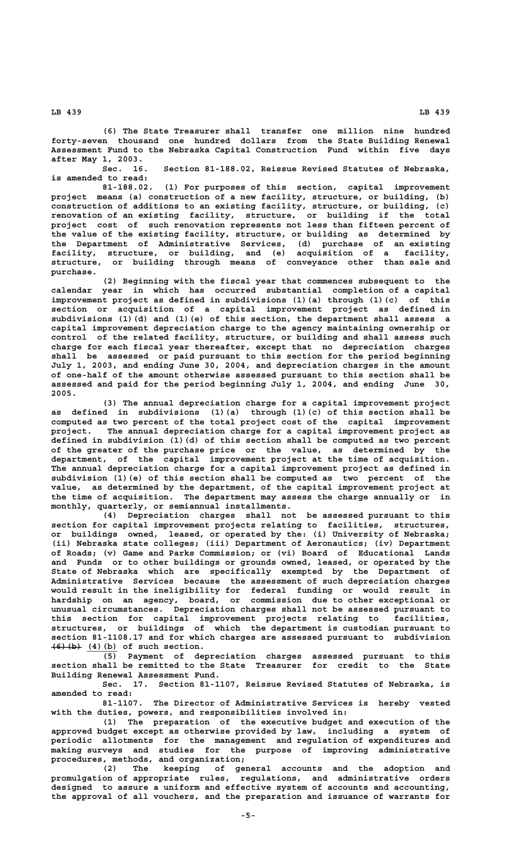**(6) The State Treasurer shall transfer one million nine hundred forty-seven thousand one hundred dollars from the State Building Renewal Assessment Fund to the Nebraska Capital Construction Fund within five days after May 1, 2003.**

**Sec. 16. Section 81-188.02, Reissue Revised Statutes of Nebraska, is amended to read:**

**81-188.02. (1) For purposes of this section, capital improvement project means (a) construction of a new facility, structure, or building, (b) construction of additions to an existing facility, structure, or building, (c) renovation of an existing facility, structure, or building if the total project cost of such renovation represents not less than fifteen percent of the value of the existing facility, structure, or building as determined by the Department of Administrative Services, (d) purchase of an existing facility, structure, or building, and (e) acquisition of a facility, structure, or building through means of conveyance other than sale and purchase.**

**(2) Beginning with the fiscal year that commences subsequent to the calendar year in which has occurred substantial completion of a capital improvement project as defined in subdivisions (1)(a) through (1)(c) of this section or acquisition of a capital improvement project as defined in subdivisions (1)(d) and (1)(e) of this section, the department shall assess a capital improvement depreciation charge to the agency maintaining ownership or control of the related facility, structure, or building and shall assess such charge for each fiscal year thereafter, except that no depreciation charges shall be assessed or paid pursuant to this section for the period beginning July 1, 2003, and ending June 30, 2004, and depreciation charges in the amount of one-half of the amount otherwise assessed pursuant to this section shall be assessed and paid for the period beginning July 1, 2004, and ending June 30, 2005.**

**(3) The annual depreciation charge for a capital improvement project as defined in subdivisions (1)(a) through (1)(c) of this section shall be computed as two percent of the total project cost of the capital improvement project. The annual depreciation charge for a capital improvement project as defined in subdivision (1)(d) of this section shall be computed as two percent of the greater of the purchase price or the value, as determined by the department, of the capital improvement project at the time of acquisition. The annual depreciation charge for a capital improvement project as defined in subdivision (1)(e) of this section shall be computed as two percent of the value, as determined by the department, of the capital improvement project at the time of acquisition. The department may assess the charge annually or in monthly, quarterly, or semiannual installments.**

**(4) Depreciation charges shall not be assessed pursuant to this section for capital improvement projects relating to facilities, structures, or buildings owned, leased, or operated by the: (i) University of Nebraska; (ii) Nebraska state colleges; (iii) Department of Aeronautics; (iv) Department of Roads; (v) Game and Parks Commission; or (vi) Board of Educational Lands and Funds or to other buildings or grounds owned, leased, or operated by the State of Nebraska which are specifically exempted by the Department of Administrative Services because the assessment of such depreciation charges would result in the ineligibility for federal funding or would result in hardship on an agency, board, or commission due to other exceptional or unusual circumstances. Depreciation charges shall not be assessed pursuant to this section for capital improvement projects relating to facilities, structures, or buildings of which the department is custodian pursuant to section 81-1108.17 and for which charges are assessed pursuant to subdivision**  $\overline{(6)(b)}$  (4)(b) of such section.

**(5) Payment of depreciation charges assessed pursuant to this section shall be remitted to the State Treasurer for credit to the State Building Renewal Assessment Fund.**

**Sec. 17. Section 81-1107, Reissue Revised Statutes of Nebraska, is amended to read:**

**81-1107. The Director of Administrative Services is hereby vested with the duties, powers, and responsibilities involved in:**

**(1) The preparation of the executive budget and execution of the approved budget except as otherwise provided by law, including a system of periodic allotments for the management and regulation of expenditures and making surveys and studies for the purpose of improving administrative procedures, methods, and organization;**

**(2) The keeping of general accounts and the adoption and promulgation of appropriate rules, regulations, and administrative orders designed to assure a uniform and effective system of accounts and accounting, the approval of all vouchers, and the preparation and issuance of warrants for**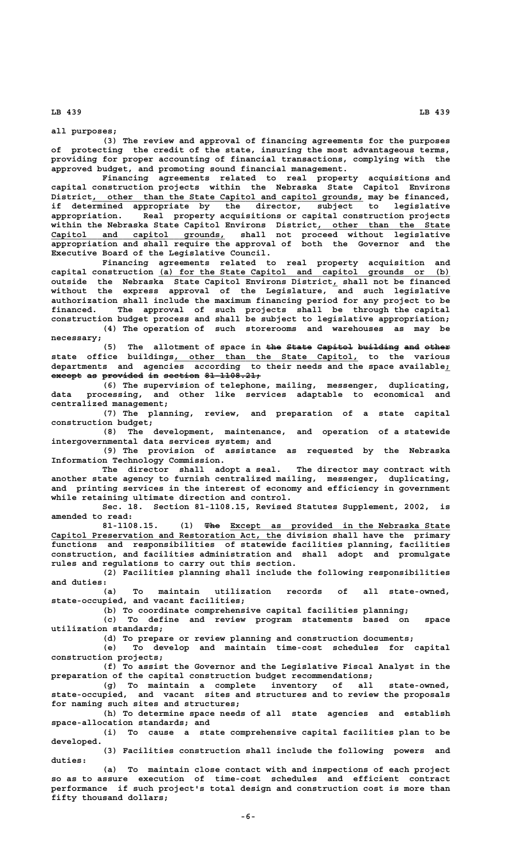**all purposes;**

**(3) The review and approval of financing agreements for the purposes of protecting the credit of the state, insuring the most advantageous terms, providing for proper accounting of financial transactions, complying with the approved budget, and promoting sound financial management.**

**Financing agreements related to real property acquisitions and capital construction projects within the Nebraska State Capitol Environs** District, other than the State Capitol and capitol grounds, may be financed, **if determined appropriate by the director, subject to legislative appropriation. Real property acquisitions or capital construction projects within the Nebraska State Capitol Environs District, other than the State \_\_\_\_\_\_\_\_\_\_\_\_\_\_\_\_\_\_\_\_\_\_\_\_\_\_ \_\_\_\_\_\_\_\_\_\_\_\_\_\_\_\_\_\_\_\_\_\_\_\_\_\_\_\_\_\_\_\_\_\_ Capitol and capitol grounds, shall not proceed without legislative appropriation and shall require the approval of both the Governor and the Executive Board of the Legislative Council.**

**Financing agreements related to real property acquisition and \_\_\_\_\_\_\_\_\_\_\_\_\_\_\_\_\_\_\_\_\_\_\_\_\_\_\_\_\_\_\_\_\_\_\_\_\_\_\_\_\_\_\_\_\_\_\_\_\_\_\_\_\_\_\_\_\_ capital construction (a) for the State Capitol and capitol grounds or (b) outside the Nebraska State Capitol Environs District, shall not be financed \_ without the express approval of the Legislature, and such legislative authorization shall include the maximum financing period for any project to be financed. The approval of such projects shall be through the capital construction budget process and shall be subject to legislative appropriation;**

**(4) The operation of such storerooms and warehouses as may be necessary;**

The allotment of space in the State Capitol building and other  **\_\_\_\_\_\_\_\_\_\_\_\_\_\_\_\_\_\_\_\_\_\_\_\_\_\_\_\_\_\_\_\_\_\_\_\_ state office buildings, other than the State Capitol, to the various departments and agencies according to their needs and the space available;\_ except as provided in section 81-1108.21;** 

**(6) The supervision of telephone, mailing, messenger, duplicating, data processing, and other like services adaptable to economical and centralized management;**

**(7) The planning, review, and preparation of a state capital construction budget;**

**(8) The development, maintenance, and operation of a statewide intergovernmental data services system; and**

**(9) The provision of assistance as requested by the Nebraska Information Technology Commission.**

**The director shall adopt a seal. The director may contract with another state agency to furnish centralized mailing, messenger, duplicating, and printing services in the interest of economy and efficiency in government while retaining ultimate direction and control.**

**Sec. 18. Section 81-1108.15, Revised Statutes Supplement, 2002, is amended to read:**

 **——— \_\_\_\_\_\_\_\_\_\_\_\_\_\_\_\_\_\_\_\_\_\_\_\_\_\_\_\_\_\_\_\_\_\_\_\_\_\_\_\_\_\_\_ 81-1108.15. (1) The Except as provided in the Nebraska State \_\_\_\_\_\_\_\_\_\_\_\_\_\_\_\_\_\_\_\_\_\_\_\_\_\_\_\_\_\_\_\_\_\_\_\_\_\_\_\_\_\_\_\_\_ Capitol Preservation and Restoration Act, the division shall have the primary functions and responsibilities of statewide facilities planning, facilities construction, and facilities administration and shall adopt and promulgate rules and regulations to carry out this section.**

**(2) Facilities planning shall include the following responsibilities and duties:**

**(a) To maintain utilization records of all state-owned, state-occupied, and vacant facilities;**

**(b) To coordinate comprehensive capital facilities planning;**

**(c) To define and review program statements based on space utilization standards;**

**(d) To prepare or review planning and construction documents;**

**(e) To develop and maintain time-cost schedules for capital construction projects;**

**(f) To assist the Governor and the Legislative Fiscal Analyst in the preparation of the capital construction budget recommendations;**

**(g) To maintain a complete inventory of all state-owned, state-occupied, and vacant sites and structures and to review the proposals for naming such sites and structures;**

**(h) To determine space needs of all state agencies and establish space-allocation standards; and**

**(i) To cause a state comprehensive capital facilities plan to be developed.**

**(3) Facilities construction shall include the following powers and duties:**

**(a) To maintain close contact with and inspections of each project so as to assure execution of time-cost schedules and efficient contract performance if such project's total design and construction cost is more than fifty thousand dollars;**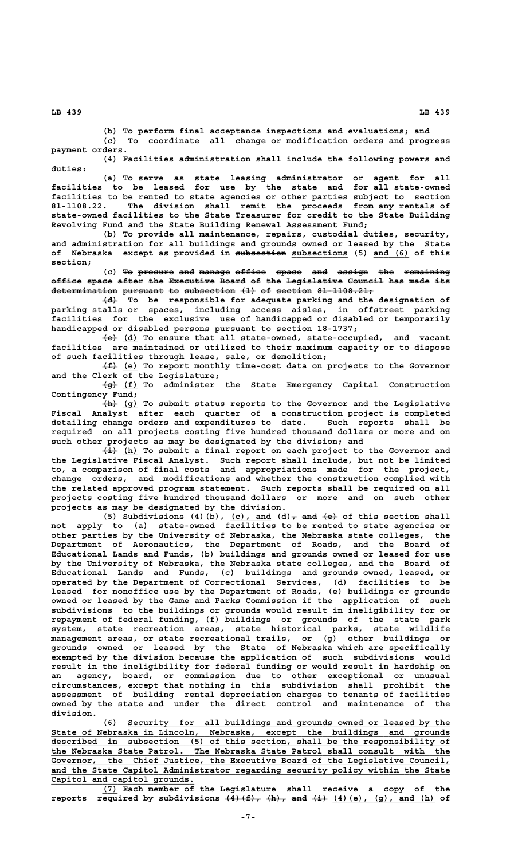**(b) To perform final acceptance inspections and evaluations; and**

**(c) To coordinate all change or modification orders and progress payment orders.**

**(4) Facilities administration shall include the following powers and duties:**

**(a) To serve as state leasing administrator or agent for all facilities to be leased for use by the state and for all state-owned facilities to be rented to state agencies or other parties subject to section 81-1108.22. The division shall remit the proceeds from any rentals of state-owned facilities to the State Treasurer for credit to the State Building Revolving Fund and the State Building Renewal Assessment Fund;**

**(b) To provide all maintenance, repairs, custodial duties, security, and administration for all buildings and grounds owned or leased by the State** of Nebraska except as provided in subsection subsections (5) and (6) of this  **section;**

**(c)** To procure and manage office space and assign the remaining **office space after the Executive Board of the Legislative Council has made its —————— ————— ————— ——— ————————— ————— —— ——— ——————————— ——————— ——— ———— ——**  $determination$  pursuant to subsection  $\{1\}$  of section  $81-1108.21$ 

 **——— (d) To be responsible for adequate parking and the designation of parking stalls or spaces, including access aisles, in offstreet parking facilities for the exclusive use of handicapped or disabled or temporarily handicapped or disabled persons pursuant to section 18-1737;**

 **——— \_\_\_ (e) (d) To ensure that all state-owned, state-occupied, and vacant facilities are maintained or utilized to their maximum capacity or to dispose of such facilities through lease, sale, or demolition;**

 **——— \_\_\_ (f) (e) To report monthly time-cost data on projects to the Governor and the Clerk of the Legislature;**

 **——— \_\_\_ (g) (f) To administer the State Emergency Capital Construction Contingency Fund;**

 **——— \_\_\_ (h) (g) To submit status reports to the Governor and the Legislative Fiscal Analyst after each quarter of a construction project is completed detailing change orders and expenditures to date. Such reports shall be required on all projects costing five hundred thousand dollars or more and on such other projects as may be designated by the division; and**

 **——— \_\_\_ (i) (h) To submit a final report on each project to the Governor and the Legislative Fiscal Analyst. Such report shall include, but not be limited to, a comparison of final costs and appropriations made for the project, change orders, and modifications and whether the construction complied with the related approved program statement. Such reports shall be required on all projects costing five hundred thousand dollars or more and on such other projects as may be designated by the division.**

(5) Subdivisions (4)(b), (c), and  $(d)$ <sub> $\tau$ </sub> and  $(4)$  of this section shall **not apply to (a) state-owned facilities to be rented to state agencies or other parties by the University of Nebraska, the Nebraska state colleges, the Department of Aeronautics, the Department of Roads, and the Board of Educational Lands and Funds, (b) buildings and grounds owned or leased for use by the University of Nebraska, the Nebraska state colleges, and the Board of Educational Lands and Funds, (c) buildings and grounds owned, leased, or operated by the Department of Correctional Services, (d) facilities to be leased for nonoffice use by the Department of Roads, (e) buildings or grounds owned or leased by the Game and Parks Commission if the application of such subdivisions to the buildings or grounds would result in ineligibility for or repayment of federal funding, (f) buildings or grounds of the state park system, state recreation areas, state historical parks, state wildlife management areas, or state recreational trails, or (g) other buildings or grounds owned or leased by the State of Nebraska which are specifically exempted by the division because the application of such subdivisions would result in the ineligibility for federal funding or would result in hardship on an agency, board, or commission due to other exceptional or unusual circumstances, except that nothing in this subdivision shall prohibit the assessment of building rental depreciation charges to tenants of facilities owned by the state and under the direct control and maintenance of the division.**

 **\_\_\_\_\_\_\_\_\_\_\_\_\_\_\_\_\_\_\_\_\_\_\_\_\_\_\_\_\_\_\_\_\_\_\_\_\_\_\_\_\_\_\_\_\_\_\_\_\_\_\_\_\_\_\_\_\_\_\_\_\_\_\_ (6) Security for all buildings and grounds owned or leased by the \_\_\_\_\_\_\_\_\_\_\_\_\_\_\_\_\_\_\_\_\_\_\_\_\_\_\_\_\_\_\_\_\_\_\_\_\_\_\_\_\_\_\_\_\_\_\_\_\_\_\_\_\_\_\_\_\_\_\_\_\_\_\_\_\_\_\_\_\_\_\_\_\_\_\_\_\_\_ State of Nebraska in Lincoln, Nebraska, except the buildings and grounds \_\_\_\_\_\_\_\_\_\_\_\_\_\_\_\_\_\_\_\_\_\_\_\_\_\_\_\_\_\_\_\_\_\_\_\_\_\_\_\_\_\_\_\_\_\_\_\_\_\_\_\_\_\_\_\_\_\_\_\_\_\_\_\_\_\_\_\_\_\_\_\_\_\_\_\_\_\_ described in subsection (5) of this section, shall be the responsibility of** the Nebraska State Patrol. The Nebraska State Patrol shall consult with the  **\_\_\_\_\_\_\_\_\_\_\_\_\_\_\_\_\_\_\_\_\_\_\_\_\_\_\_\_\_\_\_\_\_\_\_\_\_\_\_\_\_\_\_\_\_\_\_\_\_\_\_\_\_\_\_\_\_\_\_\_\_\_\_\_\_\_\_\_\_\_\_\_\_\_\_\_\_\_ Governor, the Chief Justice, the Executive Board of the Legislative Council, \_\_\_\_\_\_\_\_\_\_\_\_\_\_\_\_\_\_\_\_\_\_\_\_\_\_\_\_\_\_\_\_\_\_\_\_\_\_\_\_\_\_\_\_\_\_\_\_\_\_\_\_\_\_\_\_\_\_\_\_\_\_\_\_\_\_\_\_\_\_\_\_\_\_\_\_\_\_ and the State Capitol Administrator regarding security policy within the State \_\_\_\_\_\_\_\_\_\_\_\_\_\_\_\_\_\_\_\_\_\_\_\_\_\_\_\_ Capitol and capitol grounds.**

 **\_\_\_ (7) Each member of the Legislature shall receive a copy of the** reports required by subdivisions  $\{4\}$   $\{4\}$ ,  $\{h\}$ , and  $\{4\}$ ,  $\{4\}$  (e), (g), and (h) of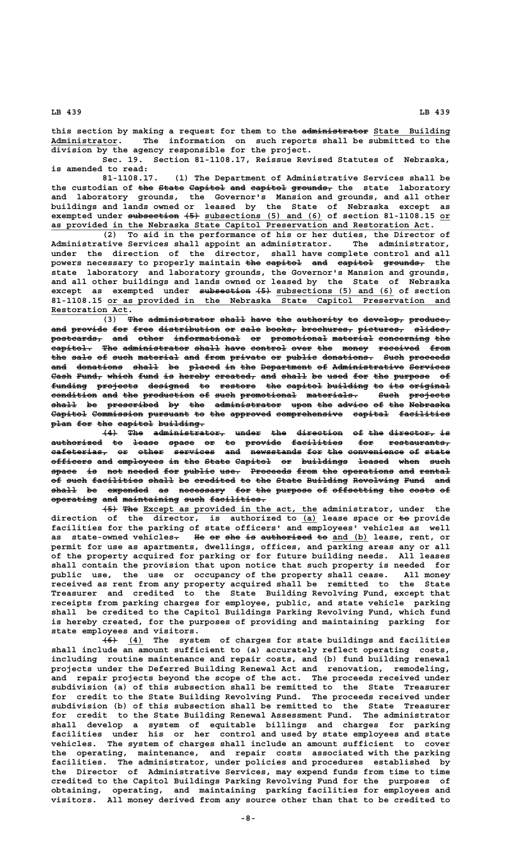this section by making a request for them to the administrator State Building  **\_\_\_\_\_\_\_\_\_\_\_\_\_ Administrator. The information on such reports shall be submitted to the division by the agency responsible for the project.**

**Sec. 19. Section 81-1108.17, Reissue Revised Statutes of Nebraska, is amended to read:**

**81-1108.17. (1) The Department of Administrative Services shall be** the custodian of the State Capitol and capitol grounds, the state laboratory **and laboratory grounds, the Governor's Mansion and grounds, and all other buildings and lands owned or leased by the State of Nebraska except as exempted under <del>subsection (5)</del> subsections (5) and (6) of section 81-1108.15 or \_\_\_\_\_\_\_\_\_\_\_\_\_\_\_\_\_\_\_\_\_\_\_\_\_\_\_\_\_\_\_\_\_\_\_\_\_\_\_\_\_\_\_\_\_\_\_\_\_\_\_\_\_\_\_\_\_\_\_\_\_\_\_\_\_\_\_\_\_\_\_\_\_\_ as provided in the Nebraska State Capitol Preservation and Restoration Act.**

**(2) To aid in the performance of his or her duties, the Director of Administrative Services shall appoint an administrator. The administrator, under the direction of the director, shall have complete control and all** powers necessary to properly maintain the eapitol and eapitol grounds, the **state laboratory and laboratory grounds, the Governor's Mansion and grounds, and all other buildings and lands owned or leased by the State of Nebraska** except as exempted under <del>subsection (5)</del> subsections (5) and (6) of section  **\_\_\_\_\_\_\_\_\_\_\_\_\_\_\_\_\_\_\_\_\_\_\_\_\_\_\_\_\_\_\_\_\_\_\_\_\_\_\_\_\_\_\_\_\_\_\_\_\_\_\_\_\_\_\_\_\_\_\_\_\_\_\_\_\_\_\_ 81-1108.15 or as provided in the Nebraska State Capitol Preservation and Restoration Act. \_\_\_\_\_\_\_\_\_\_\_\_\_\_\_**

 $\overline{13}$  The administrator shall have the authority to develop, produce, and provide for free distribution or sale books, brochures, pictures, slides,  $\texttt{postcards}\_\texttt{max}$  and other informational or promotional material concerning the **capitol. The administrator shall have control over the money received from** the sale of such material and from private or public donations. Such proceeds and donations shall be placed in the Department of Administrative Services Cash Fund, which fund is hereby created, and shall be used for the purpose of **funding projects designed to restore the capitol building to its original ——————— ———————— ———————— —— ——————— ——— ——————— ———————— —— ——— ———————** condition and the production of such promotional materials. **Euch projects** shall be prescribed by the administrator upon the advice of the Nebraska **Capitol Commission pursuant to the approved comprehensive capital facilities ——————— —————————— ———————— —— ——— ———————— ————————————— ——————— —————————** plan for the capitol building.

 $\frac{1}{2}$  The administrator, under the direction of the director, is **authorized to lease space or to provide facilities for restaurants, —————————— —— ————— ————— —— —— ——————— —————————— ——— ——————————— cafeterias, or other services and newsstands for the convenience of state ——————————— —— ————— ———————— ——— —————————— ——— ——— ——————————— —— ————** officers and employees in the State Capitol or buildings leased when such space is not needed for public use. Proceeds from the operations and rental of such facilities shall be credited to the State Building Revolving Fund and shall be expended as necessary for the purpose of offsetting the costs of **operating and maintaining such facilities. ————————— ——— ——————————— ———— ———————————**

 $\overline{+5}$  The Except as provided in the act, the administrator, under the direction of the director, is authorized to (a) lease space or to provide **facilities for the parking of state officers' and employees' vehicles as well** as state-owned vehicles. He or she is authorized to and (b) lease, rent, or **permit for use as apartments, dwellings, offices, and parking areas any or all of the property acquired for parking or for future building needs. All leases shall contain the provision that upon notice that such property is needed for public use, the use or occupancy of the property shall cease. All money received as rent from any property acquired shall be remitted to the State Treasurer and credited to the State Building Revolving Fund, except that receipts from parking charges for employee, public, and state vehicle parking shall be credited to the Capitol Buildings Parking Revolving Fund, which fund is hereby created, for the purposes of providing and maintaining parking for state employees and visitors.**

 **——— \_\_\_ (6) (4) The system of charges for state buildings and facilities shall include an amount sufficient to (a) accurately reflect operating costs, including routine maintenance and repair costs, and (b) fund building renewal projects under the Deferred Building Renewal Act and renovation, remodeling, and repair projects beyond the scope of the act. The proceeds received under subdivision (a) of this subsection shall be remitted to the State Treasurer for credit to the State Building Revolving Fund. The proceeds received under subdivision (b) of this subsection shall be remitted to the State Treasurer for credit to the State Building Renewal Assessment Fund. The administrator shall develop a system of equitable billings and charges for parking facilities under his or her control and used by state employees and state vehicles. The system of charges shall include an amount sufficient to cover the operating, maintenance, and repair costs associated with the parking facilities. The administrator, under policies and procedures established by the Director of Administrative Services, may expend funds from time to time credited to the Capitol Buildings Parking Revolving Fund for the purposes of obtaining, operating, and maintaining parking facilities for employees and visitors. All money derived from any source other than that to be credited to**

 **LB 439 LB 439**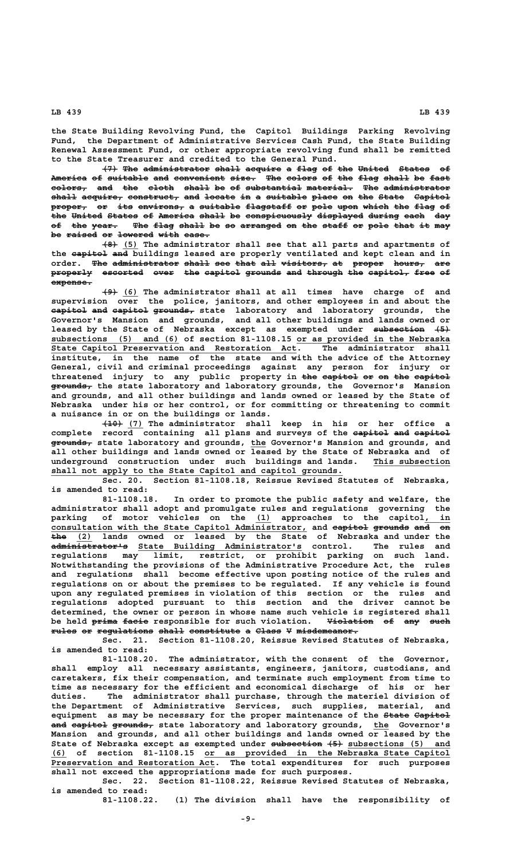**the State Building Revolving Fund, the Capitol Buildings Parking Revolving Fund, the Department of Administrative Services Cash Fund, the State Building Renewal Assessment Fund, or other appropriate revolving fund shall be remitted to the State Treasurer and credited to the General Fund.**

 $\left\{\frac{7}{7}\right\}$  The administrator shall acquire a flag of the United States of America of suitable and convenient size. The colors of the flag shall be fast  $colors<sub>r</sub>$  and the cloth shall be of substantial material. The administrator shall acquire, construct, and locate in a suitable place on the State Capitol proper, or its environs, a suitable flagstaff or pole upon which the flag of the United States of America shall be conspicuously displayed during each day of the year. The flag shall be so arranged on the staff or pole that it may be raised or lowered with ease.

 **——— \_\_\_ (8) (5) The administrator shall see that all parts and apartments of** the eapitol and buildings leased are properly ventilated and kept clean and in order. The administrator shall see that all visitors, at proper hours, are properly escorted over the capitol grounds and through the capitol, free of  **expense. ————————**

 **——— \_\_\_ (9) (6) The administrator shall at all times have charge of and supervision over the police, janitors, and other employees in and about the capitol and capitol grounds, state laboratory and laboratory grounds, the ——————— ——— ——————— ———————— Governor's Mansion and grounds, and all other buildings and lands owned or** leased by the State of Nebraska except as exempted under subsection  $\{5\}$  **\_\_\_\_\_\_\_\_\_\_\_\_\_\_\_\_\_\_\_\_\_\_\_\_\_ \_\_\_\_\_\_\_\_\_\_\_\_\_\_\_\_\_\_\_\_\_\_\_\_\_\_\_\_\_\_ subsections (5) and (6) of section 81-1108.15 or as provided in the Nebraska State Capitol Preservation and Restoration Act. The administrator shall institute, in the name of the state and with the advice of the Attorney General, civil and criminal proceedings against any person for injury or** threatened injury to any public property in the capitol or on the capitol  **———————— grounds, the state laboratory and laboratory grounds, the Governor's Mansion and grounds, and all other buildings and lands owned or leased by the State of Nebraska under his or her control, or for committing or threatening to commit a nuisance in or on the buildings or lands.**

 **———— \_\_\_ (10) (7) The administrator shall keep in his or her office a** complete record containing all plans and surveys of the eapitol and eapitol  **———————— \_\_\_ grounds, state laboratory and grounds, the Governor's Mansion and grounds, and all other buildings and lands owned or leased by the State of Nebraska and of** underground construction under such buildings and lands. This subsection  $shall$  not apply to the State Capitol and capitol grounds.

**Sec. 20. Section 81-1108.18, Reissue Revised Statutes of Nebraska, is amended to read:**

**81-1108.18. In order to promote the public safety and welfare, the administrator shall adopt and promulgate rules and regulations governing the** parking of motor vehicles on the (1) approaches to the capitol **consultation with the State Capitol Administrator, and capitol grounds and on \_\_\_\_\_\_\_\_\_\_\_\_\_\_\_\_\_\_\_\_\_\_\_\_\_\_\_\_\_\_\_\_\_\_\_\_\_\_\_\_\_\_\_\_\_\_\_\_\_\_ ——————— ——————— ——— —— ——— \_\_\_ the (2) lands owned or leased by the State of Nebraska and under the ——————————————— \_\_\_\_\_\_\_\_\_\_\_\_\_\_\_\_\_\_\_\_\_\_\_\_\_\_\_\_\_\_\_\_ administrator's State Building Administrator's control. The rules and regulations may limit, restrict, or prohibit parking on such land. Notwithstanding the provisions of the Administrative Procedure Act, the rules and regulations shall become effective upon posting notice of the rules and regulations on or about the premises to be regulated. If any vehicle is found upon any regulated premises in violation of this section or the rules and regulations adopted pursuant to this section and the driver cannot be determined, the owner or person in whose name such vehicle is registered shall** be held prima facie responsible for such violation. <del>Violation</del> of any such  $rule$  or regulations shall constitute a Class V misdemeanor.

**Sec. 21. Section 81-1108.20, Reissue Revised Statutes of Nebraska, is amended to read:**

**81-1108.20. The administrator, with the consent of the Governor, shall employ all necessary assistants, engineers, janitors, custodians, and caretakers, fix their compensation, and terminate such employment from time to time as necessary for the efficient and economical discharge of his or her duties. The administrator shall purchase, through the materiel division of the Department of Administrative Services, such supplies, material, and equipment as may be necessary for the proper maintenance of the State Capitol ————— ——————** and eapitol grounds, state laboratory and laboratory grounds, the Governor's **Mansion and grounds, and all other buildings and lands owned or leased by the** State of Nebraska except as exempted under subsection (5) and **parameter** (5) and  **\_\_\_ \_\_\_\_\_\_\_\_\_\_\_\_\_\_\_\_\_\_\_\_\_\_\_\_\_\_\_\_\_\_\_\_\_\_\_\_\_\_\_\_\_\_\_\_\_\_\_\_ (6) of section 81-1108.15 or as provided in the Nebraska State Capitol** Preservation and Restoration Act. The total expenditures for such purposes **shall not exceed the appropriations made for such purposes.**

**Sec. 22. Section 81-1108.22, Reissue Revised Statutes of Nebraska, is amended to read:**

**81-1108.22. (1) The division shall have the responsibility of**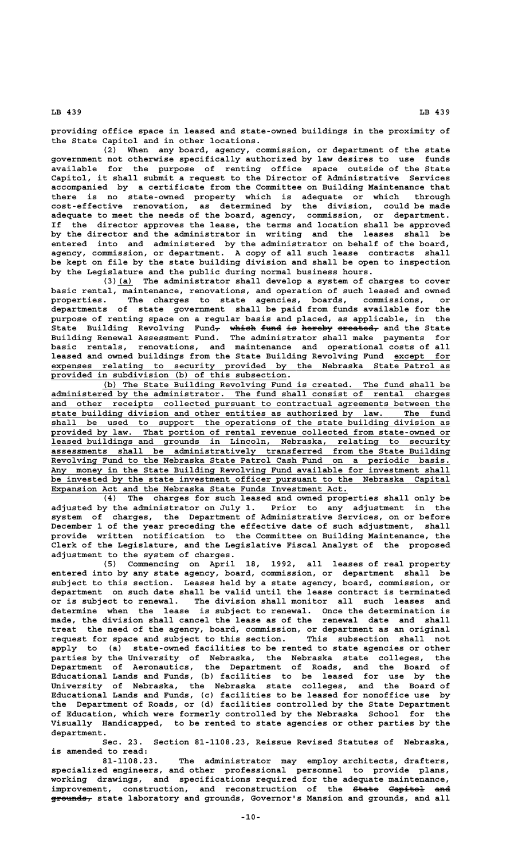**providing office space in leased and state-owned buildings in the proximity of the State Capitol and in other locations.**

**(2) When any board, agency, commission, or department of the state government not otherwise specifically authorized by law desires to use funds available for the purpose of renting office space outside of the State Capitol, it shall submit a request to the Director of Administrative Services accompanied by a certificate from the Committee on Building Maintenance that there is no state-owned property which is adequate or which through cost-effective renovation, as determined by the division, could be made adequate to meet the needs of the board, agency, commission, or department. If the director approves the lease, the terms and location shall be approved by the director and the administrator in writing and the leases shall be entered into and administered by the administrator on behalf of the board, agency, commission, or department. A copy of all such lease contracts shall be kept on file by the state building division and shall be open to inspection by the Legislature and the public during normal business hours.**

 **\_\_\_ (3)(a) The administrator shall develop a system of charges to cover basic rental, maintenance, renovations, and operation of such leased and owned** The charges to state agencies, boards, commissions, or **departments of state government shall be paid from funds available for the purpose of renting space on a regular basis and placed, as applicable, in the** State Building Revolving Fund<del>, which fund is hereby created,</del> and the State **Building Renewal Assessment Fund. The administrator shall make payments for basic rentals, renovations, and maintenance and operational costs of all** leased and owned buildings from the State Building Revolving Fund except for  **\_\_\_\_\_\_\_\_\_\_\_\_\_\_\_\_\_\_\_\_\_\_\_\_\_\_\_\_\_\_\_\_\_\_\_\_\_\_\_\_\_\_\_\_\_\_\_\_\_\_\_\_\_\_\_\_\_\_\_\_\_\_\_\_\_\_\_\_\_\_\_\_\_\_\_\_\_\_ expenses relating to security provided by the Nebraska State Patrol as \_\_\_\_\_\_\_\_\_\_\_\_\_\_\_\_\_\_\_\_\_\_\_\_\_\_\_\_\_\_\_\_\_\_\_\_\_\_\_\_\_\_\_\_\_\_ provided in subdivision (b) of this subsection.**

 **\_\_\_\_\_\_\_\_\_\_\_\_\_\_\_\_\_\_\_\_\_\_\_\_\_\_\_\_\_\_\_\_\_\_\_\_\_\_\_\_\_\_\_\_\_\_\_\_\_\_\_\_\_\_\_\_\_\_\_\_\_\_\_\_\_\_\_\_ (b) The State Building Revolving Fund is created. The fund shall be \_\_\_\_\_\_\_\_\_\_\_\_\_\_\_\_\_\_\_\_\_\_\_\_\_\_\_\_\_\_\_\_\_\_\_\_\_\_\_\_\_\_\_\_\_\_\_\_\_\_\_\_\_\_\_\_\_\_\_\_\_\_\_\_\_\_\_\_\_\_\_\_\_\_\_\_\_\_ administered by the administrator. The fund shall consist of rental charges \_\_\_\_\_\_\_\_\_\_\_\_\_\_\_\_\_\_\_\_\_\_\_\_\_\_\_\_\_\_\_\_\_\_\_\_\_\_\_\_\_\_\_\_\_\_\_\_\_\_\_\_\_\_\_\_\_\_\_\_\_\_\_\_\_\_\_\_\_\_\_\_\_\_\_\_\_\_ and other receipts collected pursuant to contractual agreements between the \_\_\_\_\_\_\_\_\_\_\_\_\_\_\_\_\_\_\_\_\_\_\_\_\_\_\_\_\_\_\_\_\_\_\_\_\_\_\_\_\_\_\_\_\_\_\_\_\_\_\_\_\_\_\_\_\_\_\_\_\_\_\_\_\_\_\_\_\_\_\_\_\_\_\_\_\_\_ state building division and other entities as authorized by law. The fund \_\_\_\_\_\_\_\_\_\_\_\_\_\_\_\_\_\_\_\_\_\_\_\_\_\_\_\_\_\_\_\_\_\_\_\_\_\_\_\_\_\_\_\_\_\_\_\_\_\_\_\_\_\_\_\_\_\_\_\_\_\_\_\_\_\_\_\_\_\_\_\_\_\_\_\_\_\_ shall be used to support the operations of the state building division as \_\_\_\_\_\_\_\_\_\_\_\_\_\_\_\_\_\_\_\_\_\_\_\_\_\_\_\_\_\_\_\_\_\_\_\_\_\_\_\_\_\_\_\_\_\_\_\_\_\_\_\_\_\_\_\_\_\_\_\_\_\_\_\_\_\_\_\_\_\_\_\_\_\_\_\_\_\_ provided by law. That portion of rental revenue collected from state-owned or \_\_\_\_\_\_\_\_\_\_\_\_\_\_\_\_\_\_\_\_\_\_\_\_\_\_\_\_\_\_\_\_\_\_\_\_\_\_\_\_\_\_\_\_\_\_\_\_\_\_\_\_\_\_\_\_\_\_\_\_\_\_\_\_\_\_\_\_\_\_\_\_\_\_\_\_\_\_ leased buildings and grounds in Lincoln, Nebraska, relating to security \_\_\_\_\_\_\_\_\_\_\_\_\_\_\_\_\_\_\_\_\_\_\_\_\_\_\_\_\_\_\_\_\_\_\_\_\_\_\_\_\_\_\_\_\_\_\_\_\_\_\_\_\_\_\_\_\_\_\_\_\_\_\_\_\_\_\_\_\_\_\_\_\_\_\_\_\_\_ assessments shall be administratively transferred from the State Building \_\_\_\_\_\_\_\_\_\_\_\_\_\_\_\_\_\_\_\_\_\_\_\_\_\_\_\_\_\_\_\_\_\_\_\_\_\_\_\_\_\_\_\_\_\_\_\_\_\_\_\_\_\_\_\_\_\_\_\_\_\_\_\_\_\_\_\_\_\_\_\_\_\_\_\_\_\_ Revolving Fund to the Nebraska State Patrol Cash Fund on a periodic basis. \_\_\_\_\_\_\_\_\_\_\_\_\_\_\_\_\_\_\_\_\_\_\_\_\_\_\_\_\_\_\_\_\_\_\_\_\_\_\_\_\_\_\_\_\_\_\_\_\_\_\_\_\_\_\_\_\_\_\_\_\_\_\_\_\_\_\_\_\_\_\_\_\_\_\_\_\_\_ Any money in the State Building Revolving Fund available for investment shall** be invested by the state investment officer pursuant to the Nebraska Capital  **\_\_\_\_\_\_\_\_\_\_\_\_\_\_\_\_\_\_\_\_\_\_\_\_\_\_\_\_\_\_\_\_\_\_\_\_\_\_\_\_\_\_\_\_\_\_\_\_\_\_\_\_\_\_\_\_\_\_ Expansion Act and the Nebraska State Funds Investment Act.**

**(4) The charges for such leased and owned properties shall only be adjusted by the administrator on July 1. Prior to any adjustment in the system of charges, the Department of Administrative Services, on or before December 1 of the year preceding the effective date of such adjustment, shall provide written notification to the Committee on Building Maintenance, the Clerk of the Legislature, and the Legislative Fiscal Analyst of the proposed adjustment to the system of charges.**

**(5) Commencing on April 18, 1992, all leases of real property entered into by any state agency, board, commission, or department shall be subject to this section. Leases held by a state agency, board, commission, or department on such date shall be valid until the lease contract is terminated or is subject to renewal. The division shall monitor all such leases and determine when the lease is subject to renewal. Once the determination is made, the division shall cancel the lease as of the renewal date and shall treat the need of the agency, board, commission, or department as an original request for space and subject to this section. This subsection shall not apply to (a) state-owned facilities to be rented to state agencies or other parties by the University of Nebraska, the Nebraska state colleges, the Department of Aeronautics, the Department of Roads, and the Board of Educational Lands and Funds, (b) facilities to be leased for use by the University of Nebraska, the Nebraska state colleges, and the Board of Educational Lands and Funds, (c) facilities to be leased for nonoffice use by the Department of Roads, or (d) facilities controlled by the State Department of Education, which were formerly controlled by the Nebraska School for the Visually Handicapped, to be rented to state agencies or other parties by the department.**

**Sec. 23. Section 81-1108.23, Reissue Revised Statutes of Nebraska, is amended to read:**

**81-1108.23. The administrator may employ architects, drafters, specialized engineers, and other professional personnel to provide plans, working drawings, and specifications required for the adequate maintenance,**  $improvement$ , construction, and reconstruction of the <del>State Capitol</del> and  **———————— grounds, state laboratory and grounds, Governor's Mansion and grounds, and all**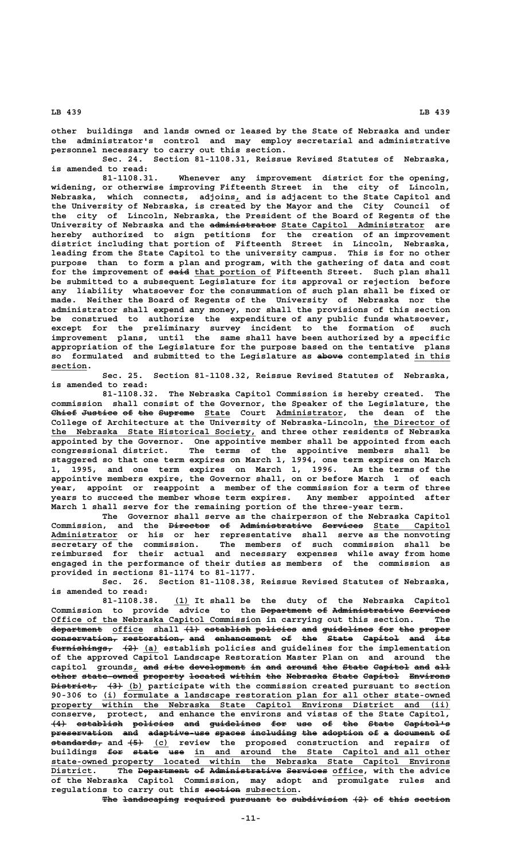**other buildings and lands owned or leased by the State of Nebraska and under the administrator's control and may employ secretarial and administrative personnel necessary to carry out this section.**

**Sec. 24. Section 81-1108.31, Reissue Revised Statutes of Nebraska, is amended to read:**

**81-1108.31. Whenever any improvement district for the opening, widening, or otherwise improving Fifteenth Street in the city of Lincoln, \_ Nebraska, which connects, adjoins, and is adjacent to the State Capitol and the University of Nebraska, is created by the Mayor and the City Council of the city of Lincoln, Nebraska, the President of the Board of Regents of the ————————————— \_\_\_\_\_\_\_\_\_\_\_\_\_\_\_\_\_\_\_\_\_\_\_\_\_\_\_\_ University of Nebraska and the administrator State Capitol Administrator are hereby authorized to sign petitions for the creation of an improvement district including that portion of Fifteenth Street in Lincoln, Nebraska, leading from the State Capitol to the university campus. This is for no other purpose than to form a plan and program, with the gathering of data and cost** for the improvement of said that portion of Fifteenth Street. Such plan shall **be submitted to a subsequent Legislature for its approval or rejection before any liability whatsoever for the consummation of such plan shall be fixed or made. Neither the Board of Regents of the University of Nebraska nor the administrator shall expend any money, nor shall the provisions of this section be construed to authorize the expenditure of any public funds whatsoever, except for the preliminary survey incident to the formation of such improvement plans, until the same shall have been authorized by a specific appropriation of the Legislature for the purpose based on the tentative plans** so formulated and submitted to the Legislature as above contemplated in this  **section. \_\_\_\_\_\_\_**

> **Sec. 25. Section 81-1108.32, Reissue Revised Statutes of Nebraska, is amended to read:**

**81-1108.32. The Nebraska Capitol Commission is hereby created. The commission shall consist of the Governor, the Speaker of the Legislature, the**  $C$ **hief Justice of the Supreme** State Court Administrator, the dean of the College of Architecture at the University of Nebraska-Lincoln, the Director of  **\_\_\_\_\_\_\_\_\_\_\_\_\_\_\_\_\_\_\_\_\_\_\_\_\_\_\_\_\_\_\_\_\_\_\_\_\_\_\_\_ the Nebraska State Historical Society, and three other residents of Nebraska appointed by the Governor. One appointive member shall be appointed from each congressional district. The terms of the appointive members shall be staggered so that one term expires on March 1, 1994, one term expires on March 1, 1995, and one term expires on March 1, 1996. As the terms of the appointive members expire, the Governor shall, on or before March 1 of each year, appoint or reappoint a member of the commission for a term of three years to succeed the member whose term expires. Any member appointed after March 1 shall serve for the remaining portion of the three-year term.**

**The Governor shall serve as the chairperson of the Nebraska Capitol Commission, and the Director of Administrative Services State Capitol ———————— —— —————————————— ———————— \_\_\_\_\_\_\_\_\_\_\_\_\_\_\_ \_\_\_\_\_\_\_\_\_\_\_\_\_ Administrator or his or her representative shall serve as the nonvoting secretary of the commission. The members of such commission shall be reimbursed for their actual and necessary expenses while away from home engaged in the performance of their duties as members of the commission as provided in sections 81-1174 to 81-1177.**

**Sec. 26. Section 81-1108.38, Reissue Revised Statutes of Nebraska, is amended to read:**

 **\_\_\_ 81-1108.38. (1) It shall be the duty of the Nebraska Capitol** Commission to provide advice to the <del>Department of Administrative Services</del>  **\_\_\_\_\_\_\_\_\_\_\_\_\_\_\_\_\_\_\_\_\_\_\_\_\_\_\_\_\_\_\_\_\_\_\_\_\_\_\_\_\_ Office of the Nebraska Capitol Commission in carrying out this section. The**  $\frac{1}{1}$  department office shall  $\{1\}$  establish policies and guidelines for the proper conservation, restoration, and enhancement of the State Capitol and its  $f$ urnishings<sub>r</sub>  $(2)$   $(a)$  establish policies and guidelines for the implementation **of the approved Capitol Landscape Restoration Master Plan on and around the** capitol grounds, and site development in and around the State Capitol and all other state-owned property located within the Nebraska State Capitol Environs  $\overrightarrow{B}$  **bistrict,** (3) (b) participate with the commission created pursuant to section  **\_\_\_\_\_\_\_\_\_\_\_\_\_\_\_\_\_\_\_\_\_\_\_\_\_\_\_\_\_\_\_\_\_\_\_\_\_\_\_\_\_\_\_\_\_\_\_\_\_\_\_\_\_\_\_\_\_\_\_\_\_\_\_\_\_\_\_\_ 90-306 to (i) formulate a landscape restoration plan for all other state-owned \_\_\_\_\_\_\_\_\_\_\_\_\_\_\_\_\_\_\_\_\_\_\_\_\_\_\_\_\_\_\_\_\_\_\_\_\_\_\_\_\_\_\_\_\_\_\_\_\_\_\_\_\_\_\_\_\_\_\_\_\_\_\_\_\_\_\_\_\_\_\_\_\_\_\_\_\_\_ property within the Nebraska State Capitol Environs District and (ii) conserve, protect, and enhance the environs and vistas of the State Capitol, (4) establish policies and guidelines for use of the State Capitol's ——— ————————— ———————— ——— —————————— ——— ——— —— ——— ————— ————————** preservation and adaptive-use spaces including the adoption of a document of  $\frac{1}{\text{standards}}$  and  $\left(-\frac{1}{\text{total}}\right)$  review the proposed construction and repairs of buildings for state use in and around the State Capitol and all other  **\_\_\_\_\_\_\_\_\_\_\_\_\_\_\_\_\_\_\_\_\_\_\_\_\_\_\_\_\_\_\_\_\_\_\_\_\_\_\_\_\_\_\_\_\_\_\_\_\_\_\_\_\_\_\_\_\_\_\_\_\_\_\_\_\_\_\_\_\_\_\_\_\_\_\_\_\_\_ state-owned property located within the Nebraska State Capitol Environs District. The Department of Administrative Services office, with the advice \_\_\_\_\_\_\_\_ —————————— —— —————————————— ———————— \_\_\_\_\_\_ of the Nebraska Capitol Commission, may adopt and promulgate rules and** regulations to carry out this section subsection.

The landscaping required pursuant to subdivision (2) of this section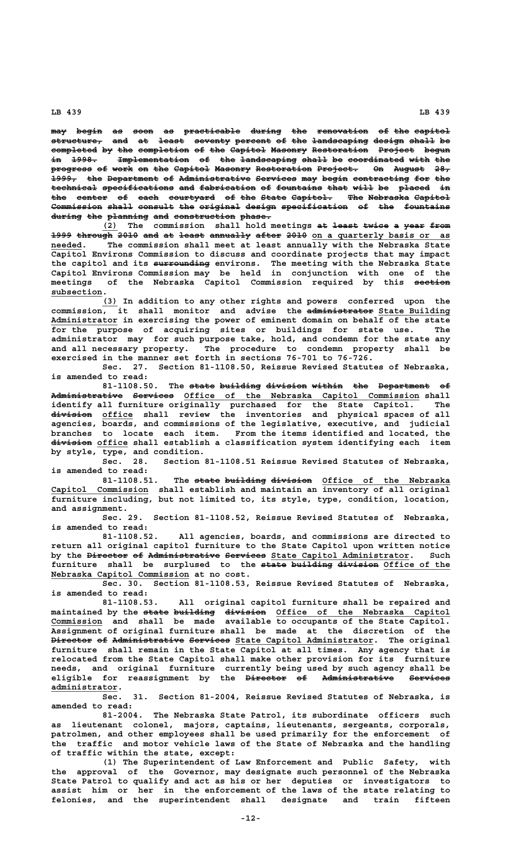**may begin as soon as practicable during the renovation of the capitol ——— ————— —— ———— —— ——————————— —————— ——— —————————— —— ——— —————— structure, and at least seventy percent of the landscaping design shall be —————————— ——— —— ————— ——————— ——————— —— ——— ——————————— —————— ————— —** completed by the completion of the Capitol Masonry Restoration Project begun in 1998. Implementation of the landscaping shall be coordinated with the progress of work on the Capitol Masonry Restoration Project. On August 28, **1999, the Department of Administrative Services may begin contracting for the ————— ——— —————————— —— —————————————— ———————— ——— ————— ——————————— ——— ——** technical specifications and fabrication of fountains that will be placed in the center of each courtyard of the State Capitol. The Nebraska Capitol Commission shall consult the original design specification of the fountains during the planning and construction phase.

(2) The commission shall hold meetings at least twice a year from <del>1999 through 2010 and at least annually after 2010</del> on a quarterly basis or as  **\_\_\_\_\_\_ needed. The commission shall meet at least annually with the Nebraska State Capitol Environs Commission to discuss and coordinate projects that may impact ——————————— the capitol and its surrounding environs. The meeting with the Nebraska State Capitol Environs Commission may be held in conjunction with one of the** meetings of the Nebraska Capitol Commission required by this section subsection.

 **\_\_\_ (3) In addition to any other rights and powers conferred upon the** commission, it shall monitor and advise the **administrator** State Building  **\_\_\_\_\_\_\_\_\_\_\_\_\_ Administrator in exercising the power of eminent domain on behalf of the state for the purpose of acquiring sites or buildings for state use. The administrator may for such purpose take, hold, and condemn for the state any and all necessary property. The procedure to condemn property shall be exercised in the manner set forth in sections 76-701 to 76-726.**

**Sec. 27. Section 81-1108.50, Reissue Revised Statutes of Nebraska, is amended to read:**

**81-1108.50. The state building division within the Department of ————— ———————— ———————— —————— ——— —————————— —— Administrative Services Office of the Nebraska Capitol Commission shall —————————————— ———————— \_\_\_\_\_\_\_\_\_\_\_\_\_\_\_\_\_\_\_\_\_\_\_\_\_\_\_\_\_\_\_\_\_\_\_\_\_\_\_\_\_\_\_\_\_\_ identify all furniture originally purchased for the State Capitol. The ———————— \_\_\_\_\_\_ division office shall review the inventories and physical spaces of all agencies, boards, and commissions of the legislative, executive, and judicial branches to locate each item. From the items identified and located, the**  $\frac{div}{i}$ sion office shall establish a classification system identifying each item **by style, type, and condition.**

**Sec. 28. Section 81-1108.51 Reissue Revised Statutes of Nebraska, is amended to read:**

81-1108.51. The state building division Office of the Nebraska  **\_\_\_\_\_\_\_\_\_\_\_\_\_\_\_\_\_\_\_ Capitol Commission shall establish and maintain an inventory of all original furniture including, but not limited to, its style, type, condition, location, and assignment.**

**Sec. 29. Section 81-1108.52, Reissue Revised Statutes of Nebraska, is amended to read:**

**81-1108.52. All agencies, boards, and commissions are directed to return all original capitol furniture to the State Capitol upon written notice** by the <del>Director</del> of Administrative Services State Capitol Administrator. Such furniture shall be surplused to the state building division Office of the  **\_\_\_\_\_\_\_\_\_\_\_\_\_\_\_\_\_\_\_\_\_\_\_\_\_\_\_ Nebraska Capitol Commission at no cost.**

**Sec. 30. Section 81-1108.53, Reissue Revised Statutes of Nebraska, is amended to read:**

**81-1108.53. All original capitol furniture shall be repaired and** maintained by the <del>state building division</del> Office of the Nebraska Capitol  **\_\_\_\_\_\_\_\_\_\_ Commission and shall be made available to occupants of the State Capitol. Assignment of original furniture shall be made at the discretion of the Director of Administrative Services State Capitol Administrator. The original ———————— —— —————————————— ———————— \_\_\_\_\_\_\_\_\_\_\_\_\_\_\_\_\_\_\_\_\_\_\_\_\_\_\_ furniture shall remain in the State Capitol at all times. Any agency that is relocated from the State Capitol shall make other provision for its furniture needs, and original furniture currently being used by such agency shall be** eligible for reassignment by the <del>Director</del> of Administrative Services  **administrator. \_\_\_\_\_\_\_\_\_\_\_\_\_**

**Sec. 31. Section 81-2004, Reissue Revised Statutes of Nebraska, is amended to read:**

**81-2004. The Nebraska State Patrol, its subordinate officers such as lieutenant colonel, majors, captains, lieutenants, sergeants, corporals, patrolmen, and other employees shall be used primarily for the enforcement of the traffic and motor vehicle laws of the State of Nebraska and the handling of traffic within the state, except:**

**(1) The Superintendent of Law Enforcement and Public Safety, with the approval of the Governor, may designate such personnel of the Nebraska State Patrol to qualify and act as his or her deputies or investigators to assist him or her in the enforcement of the laws of the state relating to felonies, and the superintendent shall designate and train fifteen**